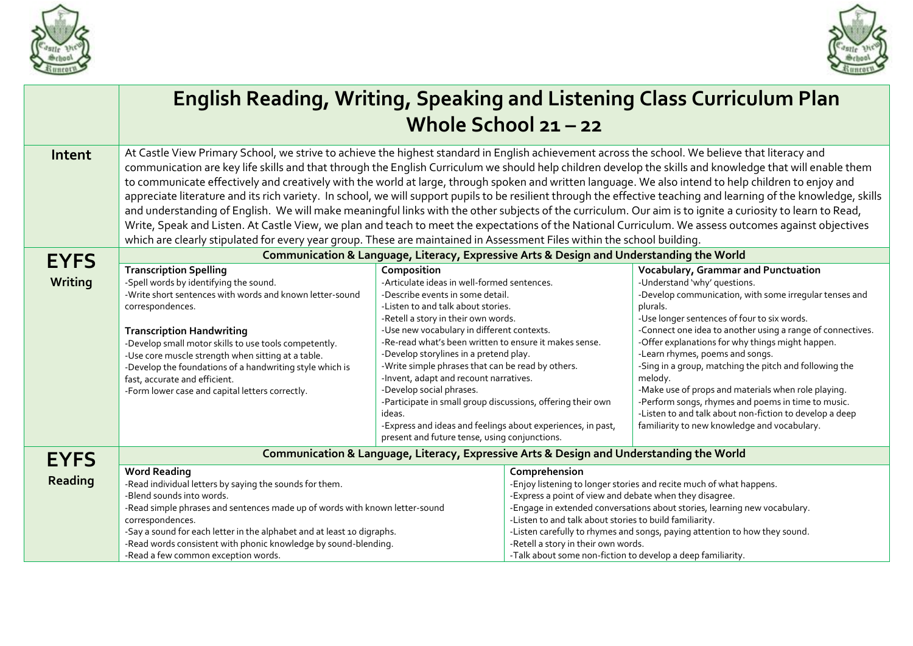



|             | <b>English Reading, Writing, Speaking and Listening Class Curriculum Plan</b><br>Whole School $21 - 22$                                                                                                                                                                                                                                                                                                                                                                                                                                                                                                                                                                                                                                                                                                                                                                                                                                                                                                                                                                                    |                                                                                                                                                                                                                                                                                                                                                                                                                                                                                                                                                                                                                                                   |                                                                                                                                                                                                                                                                                                                                                                       |                                                                                                                                                                                                                                                                                                                                                                                                                                                                                                                                                                                                                                            |  |  |
|-------------|--------------------------------------------------------------------------------------------------------------------------------------------------------------------------------------------------------------------------------------------------------------------------------------------------------------------------------------------------------------------------------------------------------------------------------------------------------------------------------------------------------------------------------------------------------------------------------------------------------------------------------------------------------------------------------------------------------------------------------------------------------------------------------------------------------------------------------------------------------------------------------------------------------------------------------------------------------------------------------------------------------------------------------------------------------------------------------------------|---------------------------------------------------------------------------------------------------------------------------------------------------------------------------------------------------------------------------------------------------------------------------------------------------------------------------------------------------------------------------------------------------------------------------------------------------------------------------------------------------------------------------------------------------------------------------------------------------------------------------------------------------|-----------------------------------------------------------------------------------------------------------------------------------------------------------------------------------------------------------------------------------------------------------------------------------------------------------------------------------------------------------------------|--------------------------------------------------------------------------------------------------------------------------------------------------------------------------------------------------------------------------------------------------------------------------------------------------------------------------------------------------------------------------------------------------------------------------------------------------------------------------------------------------------------------------------------------------------------------------------------------------------------------------------------------|--|--|
| Intent      | At Castle View Primary School, we strive to achieve the highest standard in English achievement across the school. We believe that literacy and<br>communication are key life skills and that through the English Curriculum we should help children develop the skills and knowledge that will enable them<br>to communicate effectively and creatively with the world at large, through spoken and written language. We also intend to help children to enjoy and<br>appreciate literature and its rich variety. In school, we will support pupils to be resilient through the effective teaching and learning of the knowledge, skills<br>and understanding of English. We will make meaningful links with the other subjects of the curriculum. Our aim is to ignite a curiosity to learn to Read,<br>Write, Speak and Listen. At Castle View, we plan and teach to meet the expectations of the National Curriculum. We assess outcomes against objectives<br>which are clearly stipulated for every year group. These are maintained in Assessment Files within the school building. |                                                                                                                                                                                                                                                                                                                                                                                                                                                                                                                                                                                                                                                   |                                                                                                                                                                                                                                                                                                                                                                       |                                                                                                                                                                                                                                                                                                                                                                                                                                                                                                                                                                                                                                            |  |  |
| <b>EYFS</b> | Communication & Language, Literacy, Expressive Arts & Design and Understanding the World                                                                                                                                                                                                                                                                                                                                                                                                                                                                                                                                                                                                                                                                                                                                                                                                                                                                                                                                                                                                   |                                                                                                                                                                                                                                                                                                                                                                                                                                                                                                                                                                                                                                                   |                                                                                                                                                                                                                                                                                                                                                                       |                                                                                                                                                                                                                                                                                                                                                                                                                                                                                                                                                                                                                                            |  |  |
| Writing     | <b>Transcription Spelling</b><br>-Spell words by identifying the sound.<br>-Write short sentences with words and known letter-sound<br>correspondences.<br><b>Transcription Handwriting</b><br>-Develop small motor skills to use tools competently.<br>-Use core muscle strength when sitting at a table.<br>-Develop the foundations of a handwriting style which is<br>fast, accurate and efficient.<br>-Form lower case and capital letters correctly.                                                                                                                                                                                                                                                                                                                                                                                                                                                                                                                                                                                                                                 | Composition<br>-Articulate ideas in well-formed sentences.<br>-Describe events in some detail.<br>-Listen to and talk about stories.<br>-Retell a story in their own words.<br>-Use new vocabulary in different contexts.<br>-Re-read what's been written to ensure it makes sense.<br>-Develop storylines in a pretend play.<br>-Write simple phrases that can be read by others.<br>-Invent, adapt and recount narratives.<br>-Develop social phrases.<br>-Participate in small group discussions, offering their own<br>ideas.<br>-Express and ideas and feelings about experiences, in past,<br>present and future tense, using conjunctions. |                                                                                                                                                                                                                                                                                                                                                                       | Vocabulary, Grammar and Punctuation<br>-Understand 'why' questions.<br>-Develop communication, with some irregular tenses and<br>plurals.<br>-Use longer sentences of four to six words.<br>-Connect one idea to another using a range of connectives.<br>-Offer explanations for why things might happen.<br>-Learn rhymes, poems and songs.<br>-Sing in a group, matching the pitch and following the<br>melody.<br>-Make use of props and materials when role playing.<br>-Perform songs, rhymes and poems in time to music.<br>-Listen to and talk about non-fiction to develop a deep<br>familiarity to new knowledge and vocabulary. |  |  |
| <b>EYFS</b> |                                                                                                                                                                                                                                                                                                                                                                                                                                                                                                                                                                                                                                                                                                                                                                                                                                                                                                                                                                                                                                                                                            | Communication & Language, Literacy, Expressive Arts & Design and Understanding the World                                                                                                                                                                                                                                                                                                                                                                                                                                                                                                                                                          |                                                                                                                                                                                                                                                                                                                                                                       |                                                                                                                                                                                                                                                                                                                                                                                                                                                                                                                                                                                                                                            |  |  |
| Reading     | <b>Word Reading</b><br>-Read individual letters by saying the sounds for them.<br>-Blend sounds into words.<br>-Read simple phrases and sentences made up of words with known letter-sound<br>correspondences.<br>-Say a sound for each letter in the alphabet and at least 10 digraphs.                                                                                                                                                                                                                                                                                                                                                                                                                                                                                                                                                                                                                                                                                                                                                                                                   |                                                                                                                                                                                                                                                                                                                                                                                                                                                                                                                                                                                                                                                   | Comprehension<br>-Enjoy listening to longer stories and recite much of what happens.<br>-Express a point of view and debate when they disagree.<br>-Engage in extended conversations about stories, learning new vocabulary.<br>-Listen to and talk about stories to build familiarity.<br>-Listen carefully to rhymes and songs, paying attention to how they sound. |                                                                                                                                                                                                                                                                                                                                                                                                                                                                                                                                                                                                                                            |  |  |
|             | -Read words consistent with phonic knowledge by sound-blending.<br>-Read a few common exception words.                                                                                                                                                                                                                                                                                                                                                                                                                                                                                                                                                                                                                                                                                                                                                                                                                                                                                                                                                                                     |                                                                                                                                                                                                                                                                                                                                                                                                                                                                                                                                                                                                                                                   | -Retell a story in their own words.<br>-Talk about some non-fiction to develop a deep familiarity.                                                                                                                                                                                                                                                                    |                                                                                                                                                                                                                                                                                                                                                                                                                                                                                                                                                                                                                                            |  |  |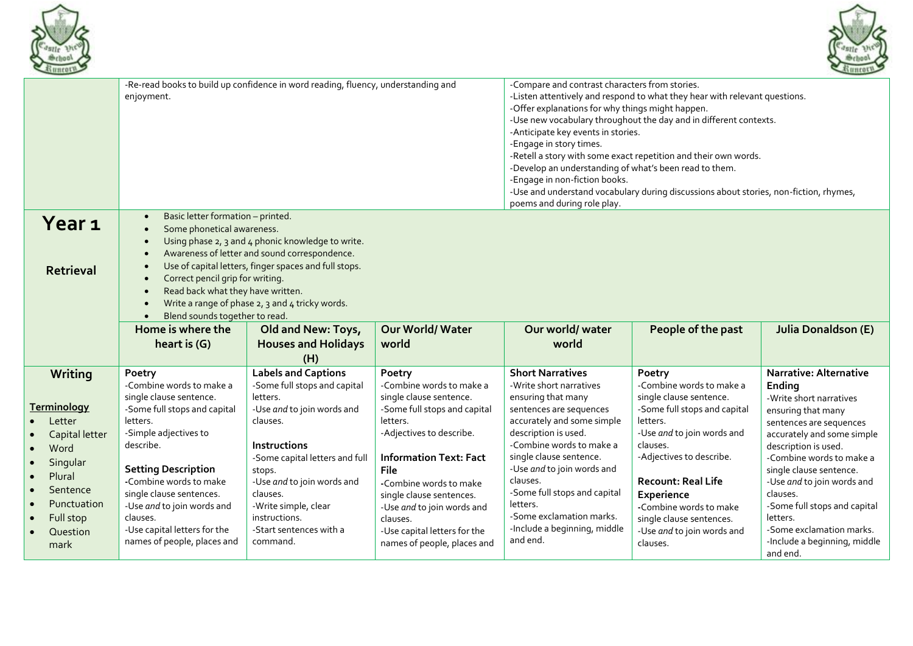



|                                                                                                                                                                  | -Re-read books to build up confidence in word reading, fluency, understanding and<br>enjoyment.                                                                                                                                                                                                                                                                                                                                                                            |                                                                                                                                                                                                                                                                                                               |                                                                                                                                                                                                                                                                                                                                               | -Compare and contrast characters from stories.<br>-Listen attentively and respond to what they hear with relevant questions.<br>-Offer explanations for why things might happen.<br>-Use new vocabulary throughout the day and in different contexts.<br>-Anticipate key events in stories.<br>-Engage in story times.<br>-Retell a story with some exact repetition and their own words.<br>-Develop an understanding of what's been read to them.<br>-Engage in non-fiction books.<br>-Use and understand vocabulary during discussions about stories, non-fiction, rhymes,<br>poems and during role play. |                                                                                                                                                                                                                                                                                                                            |                                                                                                                                                                                                                                                                                                                                                                                                |
|------------------------------------------------------------------------------------------------------------------------------------------------------------------|----------------------------------------------------------------------------------------------------------------------------------------------------------------------------------------------------------------------------------------------------------------------------------------------------------------------------------------------------------------------------------------------------------------------------------------------------------------------------|---------------------------------------------------------------------------------------------------------------------------------------------------------------------------------------------------------------------------------------------------------------------------------------------------------------|-----------------------------------------------------------------------------------------------------------------------------------------------------------------------------------------------------------------------------------------------------------------------------------------------------------------------------------------------|--------------------------------------------------------------------------------------------------------------------------------------------------------------------------------------------------------------------------------------------------------------------------------------------------------------------------------------------------------------------------------------------------------------------------------------------------------------------------------------------------------------------------------------------------------------------------------------------------------------|----------------------------------------------------------------------------------------------------------------------------------------------------------------------------------------------------------------------------------------------------------------------------------------------------------------------------|------------------------------------------------------------------------------------------------------------------------------------------------------------------------------------------------------------------------------------------------------------------------------------------------------------------------------------------------------------------------------------------------|
| Year <sub>1</sub><br><b>Retrieval</b>                                                                                                                            | Basic letter formation - printed.<br>$\bullet$<br>Some phonetical awareness.<br>$\bullet$<br>Using phase 2, 3 and 4 phonic knowledge to write.<br>$\bullet$<br>Awareness of letter and sound correspondence.<br>$\bullet$<br>Use of capital letters, finger spaces and full stops.<br>Correct pencil grip for writing.<br>$\bullet$<br>Read back what they have written.<br>$\bullet$<br>Write a range of phase 2, 3 and 4 tricky words.<br>Blend sounds together to read. |                                                                                                                                                                                                                                                                                                               |                                                                                                                                                                                                                                                                                                                                               |                                                                                                                                                                                                                                                                                                                                                                                                                                                                                                                                                                                                              |                                                                                                                                                                                                                                                                                                                            |                                                                                                                                                                                                                                                                                                                                                                                                |
|                                                                                                                                                                  | Home is where the<br>heart is (G)                                                                                                                                                                                                                                                                                                                                                                                                                                          | Old and New: Toys,<br><b>Houses and Holidays</b><br>(H)                                                                                                                                                                                                                                                       | Our World/Water<br>world                                                                                                                                                                                                                                                                                                                      | Our world/water<br>world                                                                                                                                                                                                                                                                                                                                                                                                                                                                                                                                                                                     | People of the past                                                                                                                                                                                                                                                                                                         | <b>Julia Donaldson (E)</b>                                                                                                                                                                                                                                                                                                                                                                     |
| Writing<br><b>Terminology</b><br>Letter<br>Capital letter<br>Word<br>$\bullet$<br>Singular<br>Plural<br>Sentence<br>Punctuation<br>Full stop<br>Question<br>mark | Poetry<br>-Combine words to make a<br>single clause sentence.<br>-Some full stops and capital<br>letters.<br>-Simple adjectives to<br>describe.<br><b>Setting Description</b><br>-Combine words to make<br>single clause sentences.<br>-Use and to join words and<br>clauses.<br>-Use capital letters for the<br>names of people, places and                                                                                                                               | <b>Labels and Captions</b><br>-Some full stops and capital<br>letters.<br>-Use and to join words and<br>clauses.<br><b>Instructions</b><br>-Some capital letters and full<br>stops.<br>-Use and to join words and<br>clauses.<br>-Write simple, clear<br>instructions.<br>-Start sentences with a<br>command. | Poetry<br>-Combine words to make a<br>single clause sentence.<br>-Some full stops and capital<br>letters.<br>-Adjectives to describe.<br><b>Information Text: Fact</b><br>File<br>-Combine words to make<br>single clause sentences.<br>-Use and to join words and<br>clauses.<br>-Use capital letters for the<br>names of people, places and | <b>Short Narratives</b><br>-Write short narratives<br>ensuring that many<br>sentences are sequences<br>accurately and some simple<br>description is used.<br>-Combine words to make a<br>single clause sentence.<br>-Use and to join words and<br>clauses.<br>-Some full stops and capital<br>letters.<br>-Some exclamation marks.<br>-Include a beginning, middle<br>and end.                                                                                                                                                                                                                               | Poetry<br>-Combine words to make a<br>single clause sentence.<br>-Some full stops and capital<br>letters.<br>-Use and to join words and<br>clauses.<br>-Adjectives to describe.<br><b>Recount: Real Life</b><br>Experience<br>-Combine words to make<br>single clause sentences.<br>-Use and to join words and<br>clauses. | <b>Narrative: Alternative</b><br>Ending<br>-Write short narratives<br>ensuring that many<br>sentences are sequences<br>accurately and some simple<br>description is used.<br>-Combine words to make a<br>single clause sentence.<br>-Use and to join words and<br>clauses.<br>-Some full stops and capital<br>letters.<br>-Some exclamation marks.<br>-Include a beginning, middle<br>and end. |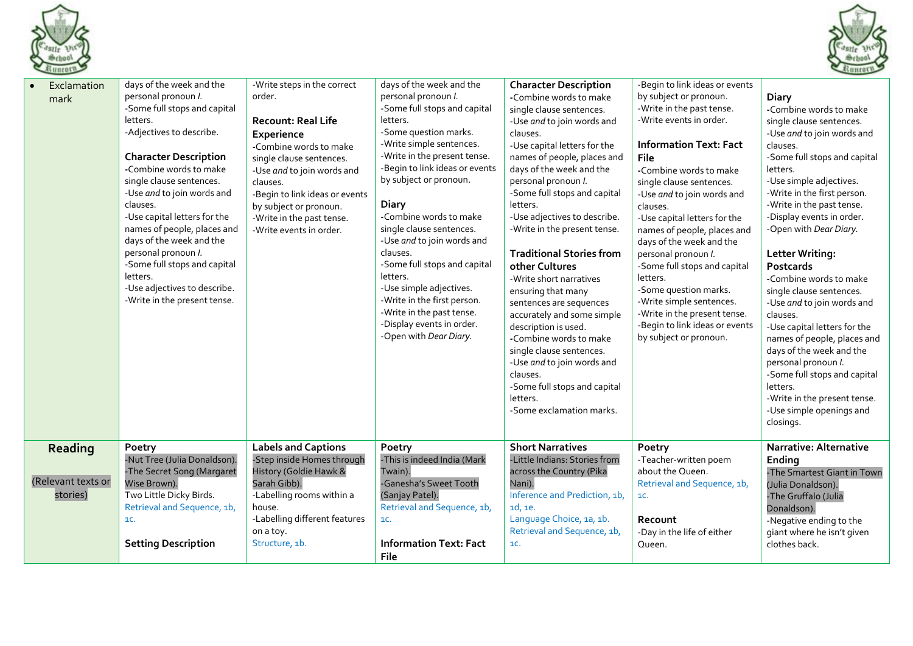



| Exclamation<br>mark                       | days of the week and the<br>personal pronoun I.<br>-Some full stops and capital<br>letters.<br>-Adjectives to describe.<br><b>Character Description</b><br>-Combine words to make<br>single clause sentences.<br>-Use and to join words and<br>clauses.<br>-Use capital letters for the<br>names of people, places and<br>days of the week and the<br>personal pronoun I.<br>-Some full stops and capital<br>letters.<br>-Use adjectives to describe.<br>-Write in the present tense. | -Write steps in the correct<br>order.<br><b>Recount: Real Life</b><br>Experience<br>-Combine words to make<br>single clause sentences.<br>-Use and to join words and<br>clauses.<br>-Begin to link ideas or events<br>by subject or pronoun.<br>-Write in the past tense.<br>-Write events in order. | days of the week and the<br>personal pronoun I.<br>-Some full stops and capital<br>letters.<br>-Some question marks.<br>-Write simple sentences.<br>-Write in the present tense.<br>-Begin to link ideas or events<br>by subject or pronoun.<br><b>Diary</b><br>-Combine words to make<br>single clause sentences.<br>-Use and to join words and<br>clauses.<br>-Some full stops and capital<br>letters.<br>-Use simple adjectives.<br>-Write in the first person.<br>-Write in the past tense.<br>-Display events in order.<br>-Open with Dear Diary. | <b>Character Description</b><br>-Combine words to make<br>single clause sentences.<br>-Use and to join words and<br>clauses.<br>-Use capital letters for the<br>names of people, places and<br>days of the week and the<br>personal pronoun I.<br>-Some full stops and capital<br>letters.<br>-Use adjectives to describe.<br>-Write in the present tense.<br><b>Traditional Stories from</b><br>other Cultures<br>-Write short narratives<br>ensuring that many<br>sentences are sequences<br>accurately and some simple<br>description is used.<br>-Combine words to make<br>single clause sentences.<br>-Use and to join words and<br>clauses.<br>-Some full stops and capital<br>letters.<br>-Some exclamation marks. | -Begin to link ideas or events<br>by subject or pronoun.<br>-Write in the past tense.<br>-Write events in order.<br><b>Information Text: Fact</b><br>File<br>-Combine words to make<br>single clause sentences.<br>-Use and to join words and<br>clauses.<br>-Use capital letters for the<br>names of people, places and<br>days of the week and the<br>personal pronoun I.<br>-Some full stops and capital<br>letters.<br>-Some question marks.<br>-Write simple sentences.<br>-Write in the present tense.<br>-Begin to link ideas or events<br>by subject or pronoun. | Diary<br>-Combine words to make<br>single clause sentences.<br>-Use and to join words and<br>clauses.<br>-Some full stops and capital<br>letters.<br>-Use simple adjectives.<br>-Write in the first person.<br>-Write in the past tense.<br>-Display events in order.<br>-Open with Dear Diary.<br><b>Letter Writing:</b><br>Postcards<br>-Combine words to make<br>single clause sentences.<br>-Use and to join words and<br>clauses.<br>-Use capital letters for the<br>names of people, places and<br>days of the week and the<br>personal pronoun I.<br>-Some full stops and capital<br>letters.<br>-Write in the present tense.<br>-Use simple openings and<br>closings. |
|-------------------------------------------|---------------------------------------------------------------------------------------------------------------------------------------------------------------------------------------------------------------------------------------------------------------------------------------------------------------------------------------------------------------------------------------------------------------------------------------------------------------------------------------|------------------------------------------------------------------------------------------------------------------------------------------------------------------------------------------------------------------------------------------------------------------------------------------------------|--------------------------------------------------------------------------------------------------------------------------------------------------------------------------------------------------------------------------------------------------------------------------------------------------------------------------------------------------------------------------------------------------------------------------------------------------------------------------------------------------------------------------------------------------------|---------------------------------------------------------------------------------------------------------------------------------------------------------------------------------------------------------------------------------------------------------------------------------------------------------------------------------------------------------------------------------------------------------------------------------------------------------------------------------------------------------------------------------------------------------------------------------------------------------------------------------------------------------------------------------------------------------------------------|--------------------------------------------------------------------------------------------------------------------------------------------------------------------------------------------------------------------------------------------------------------------------------------------------------------------------------------------------------------------------------------------------------------------------------------------------------------------------------------------------------------------------------------------------------------------------|-------------------------------------------------------------------------------------------------------------------------------------------------------------------------------------------------------------------------------------------------------------------------------------------------------------------------------------------------------------------------------------------------------------------------------------------------------------------------------------------------------------------------------------------------------------------------------------------------------------------------------------------------------------------------------|
| Reading<br>(Relevant texts or<br>stories) | Poetry<br>-Nut Tree (Julia Donaldson).<br>-The Secret Song (Margaret<br>Wise Brown).<br>Two Little Dicky Birds.<br>Retrieval and Sequence, 1b,<br>1C.<br><b>Setting Description</b>                                                                                                                                                                                                                                                                                                   | <b>Labels and Captions</b><br>-Step inside Homes through<br>History (Goldie Hawk &<br>Sarah Gibb).<br>-Labelling rooms within a<br>house.<br>-Labelling different features<br>on a toy.<br>Structure, 1b.                                                                                            | Poetry<br>-This is indeed India (Mark<br>Twain).<br>-Ganesha's Sweet Tooth<br>(Sanjay Patel).<br>Retrieval and Sequence, 1b,<br>1C.<br><b>Information Text: Fact</b><br>File                                                                                                                                                                                                                                                                                                                                                                           | <b>Short Narratives</b><br>-Little Indians: Stories from<br>across the Country (Pika<br>Nani).<br>Inference and Prediction, 1b,<br>1d, 1e.<br>Language Choice, 1a, 1b.<br>Retrieval and Sequence, 1b,<br>1C.                                                                                                                                                                                                                                                                                                                                                                                                                                                                                                              | Poetry<br>-Teacher-written poem<br>about the Queen.<br>Retrieval and Sequence, 1b,<br>1C.<br>Recount<br>-Day in the life of either<br>Queen.                                                                                                                                                                                                                                                                                                                                                                                                                             | <b>Narrative: Alternative</b><br>Ending<br>-The Smartest Giant in Town<br>(Julia Donaldson).<br>-The Gruffalo (Julia<br>Donaldson).<br>-Negative ending to the<br>giant where he isn't given<br>clothes back.                                                                                                                                                                                                                                                                                                                                                                                                                                                                 |
|                                           |                                                                                                                                                                                                                                                                                                                                                                                                                                                                                       |                                                                                                                                                                                                                                                                                                      |                                                                                                                                                                                                                                                                                                                                                                                                                                                                                                                                                        |                                                                                                                                                                                                                                                                                                                                                                                                                                                                                                                                                                                                                                                                                                                           |                                                                                                                                                                                                                                                                                                                                                                                                                                                                                                                                                                          |                                                                                                                                                                                                                                                                                                                                                                                                                                                                                                                                                                                                                                                                               |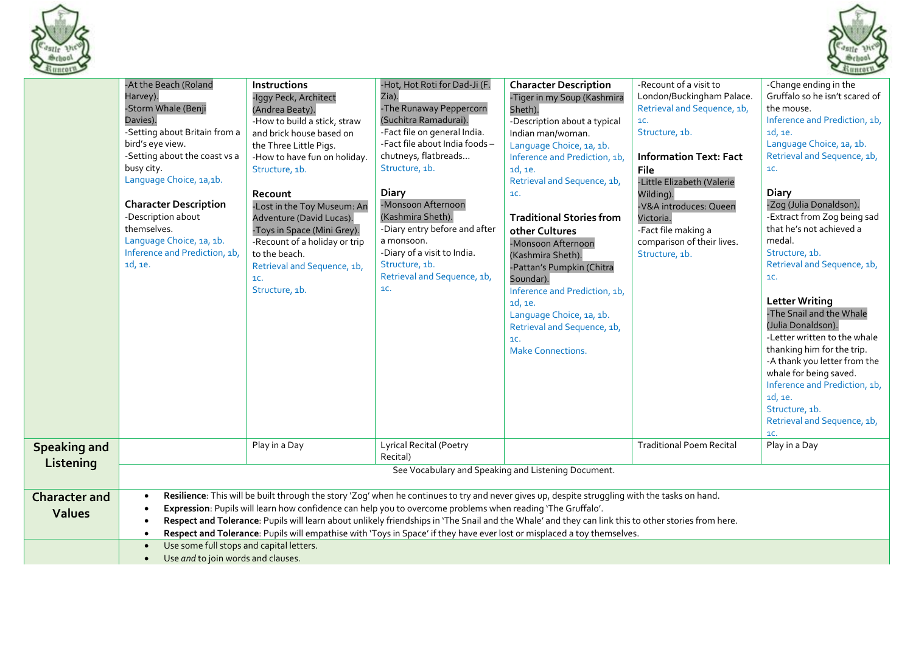



| 511111012                             |                                                                                                                                                                                                                                                                                                                                                  |                                                                                                                                                                                                                                                                                                                                                                                                                        |                                                                                                                                                                                                                                                                                                                                                                                                                                                                                                                                                 |                                                                                                                                                                                                                                                                                                                                                                                                                                                                                                                               |                                                                                                                                                                                                                                                                                                                      | $\sim$                                                                                                                                                                                                                                                                                                                                                                                                                                                                                                                                                                                                                                                                    |
|---------------------------------------|--------------------------------------------------------------------------------------------------------------------------------------------------------------------------------------------------------------------------------------------------------------------------------------------------------------------------------------------------|------------------------------------------------------------------------------------------------------------------------------------------------------------------------------------------------------------------------------------------------------------------------------------------------------------------------------------------------------------------------------------------------------------------------|-------------------------------------------------------------------------------------------------------------------------------------------------------------------------------------------------------------------------------------------------------------------------------------------------------------------------------------------------------------------------------------------------------------------------------------------------------------------------------------------------------------------------------------------------|-------------------------------------------------------------------------------------------------------------------------------------------------------------------------------------------------------------------------------------------------------------------------------------------------------------------------------------------------------------------------------------------------------------------------------------------------------------------------------------------------------------------------------|----------------------------------------------------------------------------------------------------------------------------------------------------------------------------------------------------------------------------------------------------------------------------------------------------------------------|---------------------------------------------------------------------------------------------------------------------------------------------------------------------------------------------------------------------------------------------------------------------------------------------------------------------------------------------------------------------------------------------------------------------------------------------------------------------------------------------------------------------------------------------------------------------------------------------------------------------------------------------------------------------------|
|                                       | -At the Beach (Roland<br>Harvey).<br>-Storm Whale (Benji<br>Davies).<br>-Setting about Britain from a<br>bird's eye view.<br>-Setting about the coast vs a<br>busy city.<br>Language Choice, 1a,1b.<br><b>Character Description</b><br>-Description about<br>themselves.<br>Language Choice, 1a, 1b.<br>Inference and Prediction, 1b,<br>1d, 1e. | <b>Instructions</b><br>-Iggy Peck, Architect<br>(Andrea Beaty).<br>-How to build a stick, straw<br>and brick house based on<br>the Three Little Pigs.<br>-How to have fun on holiday.<br>Structure, 1b.<br>Recount<br>-Lost in the Toy Museum: An<br>Adventure (David Lucas).<br>-Toys in Space (Mini Grey).<br>-Recount of a holiday or trip<br>to the beach.<br>Retrieval and Sequence, 1b,<br>1C.<br>Structure, 1b. | -Hot, Hot Roti for Dad-Ji (F.<br>Zia).<br>-The Runaway Peppercorn<br>(Suchitra Ramadurai).<br>-Fact file on general India.<br>-Fact file about India foods-<br>chutneys, flatbreads<br>Structure, 1b.<br><b>Diary</b><br>-Monsoon Afternoon<br>(Kashmira Sheth).<br>-Diary entry before and after<br>a monsoon.<br>-Diary of a visit to India.<br>Structure, 1b.<br>Retrieval and Sequence, 1b,<br>1C.                                                                                                                                          | <b>Character Description</b><br>-Tiger in my Soup (Kashmira<br>Sheth).<br>-Description about a typical<br>Indian man/woman.<br>Language Choice, 1a, 1b.<br>Inference and Prediction, 1b,<br>1d, 1e.<br>Retrieval and Sequence, 1b,<br>1C.<br><b>Traditional Stories from</b><br>other Cultures<br>-Monsoon Afternoon<br>(Kashmira Sheth).<br>-Pattan's Pumpkin (Chitra<br>Soundar).<br>Inference and Prediction, 1b,<br>1d, 1e.<br>Language Choice, 1a, 1b.<br>Retrieval and Sequence, 1b,<br>1C.<br><b>Make Connections.</b> | -Recount of a visit to<br>London/Buckingham Palace.<br>Retrieval and Sequence, 1b,<br>1C.<br>Structure, 1b.<br><b>Information Text: Fact</b><br><b>File</b><br>-Little Elizabeth (Valerie<br>Wilding).<br>-V&A introduces: Queen<br>Victoria.<br>-Fact file making a<br>comparison of their lives.<br>Structure, 1b. | -Change ending in the<br>Gruffalo so he isn't scared of<br>the mouse.<br>Inference and Prediction, 1b,<br>1d, 1e.<br>Language Choice, 1a, 1b.<br>Retrieval and Sequence, 1b,<br><b>1C.</b><br><b>Diary</b><br>-Zog (Julia Donaldson).<br>-Extract from Zog being sad<br>that he's not achieved a<br>medal.<br>Structure, 1b.<br>Retrieval and Sequence, 1b,<br>1C.<br><b>Letter Writing</b><br>-The Snail and the Whale<br>(Julia Donaldson).<br>-Letter written to the whale<br>thanking him for the trip.<br>-A thank you letter from the<br>whale for being saved.<br>Inference and Prediction, 1b,<br>1d, 1e.<br>Structure, 1b.<br>Retrieval and Sequence, 1b,<br>1C. |
| <b>Speaking and</b>                   |                                                                                                                                                                                                                                                                                                                                                  | Play in a Day                                                                                                                                                                                                                                                                                                                                                                                                          | <b>Lyrical Recital (Poetry</b><br>Recital)                                                                                                                                                                                                                                                                                                                                                                                                                                                                                                      |                                                                                                                                                                                                                                                                                                                                                                                                                                                                                                                               | <b>Traditional Poem Recital</b>                                                                                                                                                                                                                                                                                      | Play in a Day                                                                                                                                                                                                                                                                                                                                                                                                                                                                                                                                                                                                                                                             |
| Listening                             |                                                                                                                                                                                                                                                                                                                                                  |                                                                                                                                                                                                                                                                                                                                                                                                                        | See Vocabulary and Speaking and Listening Document.                                                                                                                                                                                                                                                                                                                                                                                                                                                                                             |                                                                                                                                                                                                                                                                                                                                                                                                                                                                                                                               |                                                                                                                                                                                                                                                                                                                      |                                                                                                                                                                                                                                                                                                                                                                                                                                                                                                                                                                                                                                                                           |
| <b>Character and</b><br><b>Values</b> | $\bullet$<br>$\bullet$                                                                                                                                                                                                                                                                                                                           |                                                                                                                                                                                                                                                                                                                                                                                                                        | Resilience: This will be built through the story 'Zog' when he continues to try and never gives up, despite struggling with the tasks on hand.<br>Expression: Pupils will learn how confidence can help you to overcome problems when reading 'The Gruffalo'.<br>Respect and Tolerance: Pupils will learn about unlikely friendships in 'The Snail and the Whale' and they can link this to other stories from here.<br>Respect and Tolerance: Pupils will empathise with 'Toys in Space' if they have ever lost or misplaced a toy themselves. |                                                                                                                                                                                                                                                                                                                                                                                                                                                                                                                               |                                                                                                                                                                                                                                                                                                                      |                                                                                                                                                                                                                                                                                                                                                                                                                                                                                                                                                                                                                                                                           |
|                                       | Use some full stops and capital letters.<br>Use and to join words and clauses.<br>$\bullet$                                                                                                                                                                                                                                                      |                                                                                                                                                                                                                                                                                                                                                                                                                        |                                                                                                                                                                                                                                                                                                                                                                                                                                                                                                                                                 |                                                                                                                                                                                                                                                                                                                                                                                                                                                                                                                               |                                                                                                                                                                                                                                                                                                                      |                                                                                                                                                                                                                                                                                                                                                                                                                                                                                                                                                                                                                                                                           |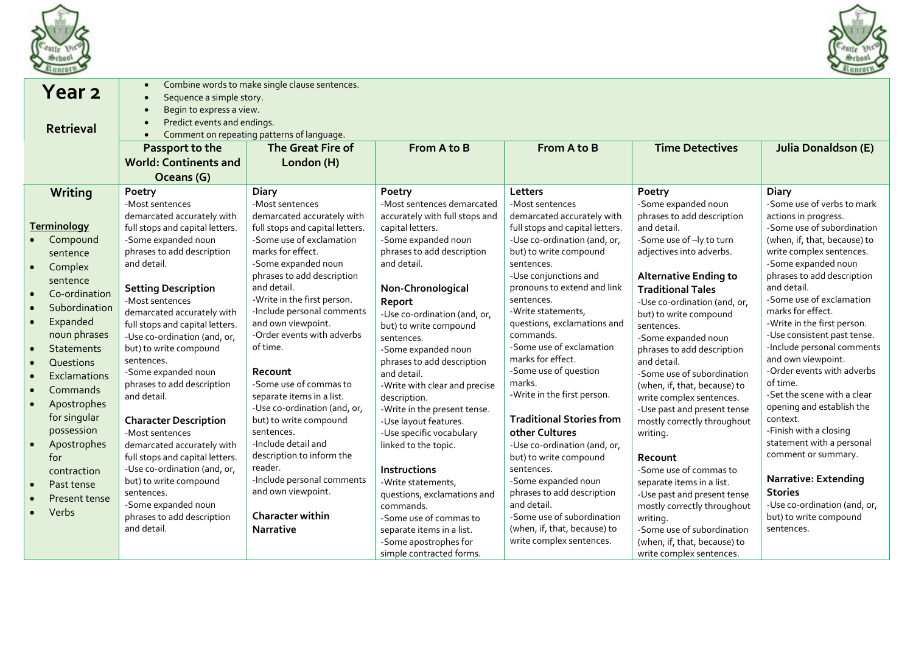



|                                                               | Year 2<br><b>Retrieval</b>                                                                   | $\bullet$<br>Sequence a simple story.<br>$\bullet$<br>Begin to express a view.<br>$\bullet$<br>Predict events and endings.<br>$\bullet$<br>Passport to the<br><b>World: Continents and</b><br>Oceans (G)      | Combine words to make single clause sentences.<br>Comment on repeating patterns of language.<br>The Great Fire of<br>London (H)                                                 | From A to B                                                                                                                                                                                | From A to B                                                                                                                                                                           | <b>Time Detectives</b>                                                                                                                                                                                                  | <b>Julia Donaldson (E)</b>                                                                                                                                                                                   |
|---------------------------------------------------------------|----------------------------------------------------------------------------------------------|---------------------------------------------------------------------------------------------------------------------------------------------------------------------------------------------------------------|---------------------------------------------------------------------------------------------------------------------------------------------------------------------------------|--------------------------------------------------------------------------------------------------------------------------------------------------------------------------------------------|---------------------------------------------------------------------------------------------------------------------------------------------------------------------------------------|-------------------------------------------------------------------------------------------------------------------------------------------------------------------------------------------------------------------------|--------------------------------------------------------------------------------------------------------------------------------------------------------------------------------------------------------------|
|                                                               | Writing                                                                                      | Poetry                                                                                                                                                                                                        | <b>Diary</b>                                                                                                                                                                    | Poetry                                                                                                                                                                                     | Letters                                                                                                                                                                               | Poetry                                                                                                                                                                                                                  | <b>Diary</b>                                                                                                                                                                                                 |
| $\bullet$                                                     | <b>Terminology</b><br>Compound                                                               | -Most sentences<br>demarcated accurately with<br>full stops and capital letters.<br>-Some expanded noun                                                                                                       | -Most sentences<br>demarcated accurately with<br>full stops and capital letters.<br>-Some use of exclamation                                                                    | -Most sentences demarcated<br>accurately with full stops and<br>capital letters.<br>-Some expanded noun                                                                                    | -Most sentences<br>demarcated accurately with<br>full stops and capital letters.<br>-Use co-ordination (and, or,                                                                      | -Some expanded noun<br>phrases to add description<br>and detail.<br>-Some use of -ly to turn                                                                                                                            | -Some use of verbs to mark<br>actions in progress.<br>-Some use of subordination<br>(when, if, that, because) to                                                                                             |
| $\bullet$                                                     | sentence<br>Complex<br>sentence                                                              | phrases to add description<br>and detail.                                                                                                                                                                     | marks for effect.<br>-Some expanded noun<br>phrases to add description                                                                                                          | phrases to add description<br>and detail.                                                                                                                                                  | but) to write compound<br>sentences.<br>-Use conjunctions and                                                                                                                         | adjectives into adverbs.<br><b>Alternative Ending to</b>                                                                                                                                                                | write complex sentences.<br>-Some expanded noun<br>phrases to add description                                                                                                                                |
| $\bullet$<br>$\bullet$<br>$\bullet$<br>$\bullet$<br>$\bullet$ | Co-ordination<br>Subordination<br>Expanded<br>noun phrases<br><b>Statements</b><br>Questions | <b>Setting Description</b><br>-Most sentences<br>demarcated accurately with<br>full stops and capital letters.<br>-Use co-ordination (and, or,<br>but) to write compound<br>sentences.<br>-Some expanded noun | and detail.<br>-Write in the first person.<br>-Include personal comments<br>and own viewpoint.<br>-Order events with adverbs<br>of time.<br>Recount                             | Non-Chronological<br>Report<br>-Use co-ordination (and, or,<br>but) to write compound<br>sentences.<br>-Some expanded noun<br>phrases to add description<br>and detail.                    | pronouns to extend and link<br>sentences.<br>-Write statements,<br>questions, exclamations and<br>commands.<br>-Some use of exclamation<br>marks for effect.<br>-Some use of question | <b>Traditional Tales</b><br>-Use co-ordination (and, or,<br>but) to write compound<br>sentences.<br>-Some expanded noun<br>phrases to add description<br>and detail.<br>-Some use of subordination                      | and detail.<br>-Some use of exclamation<br>marks for effect.<br>-Write in the first person.<br>-Use consistent past tense.<br>-Include personal comments<br>and own viewpoint.<br>-Order events with adverbs |
| $\bullet$<br>$\bullet$<br>$\bullet$<br>$\bullet$              | Exclamations<br>Commands<br>Apostrophes<br>for singular<br>possession<br>Apostrophes<br>for  | phrases to add description<br>and detail.<br><b>Character Description</b><br>-Most sentences<br>demarcated accurately with<br>full stops and capital letters.                                                 | -Some use of commas to<br>separate items in a list.<br>-Use co-ordination (and, or,<br>but) to write compound<br>sentences.<br>-Include detail and<br>description to inform the | -Write with clear and precise<br>description.<br>-Write in the present tense.<br>-Use layout features.<br>-Use specific vocabulary<br>linked to the topic.                                 | marks.<br>-Write in the first person.<br><b>Traditional Stories from</b><br>other Cultures<br>-Use co-ordination (and, or,<br>but) to write compound                                  | (when, if, that, because) to<br>write complex sentences.<br>-Use past and present tense<br>mostly correctly throughout<br>writing.<br>Recount                                                                           | of time.<br>-Set the scene with a clear<br>opening and establish the<br>context.<br>-Finish with a closing<br>statement with a personal<br>comment or summary.                                               |
| $\bullet$<br>$\bullet$<br>$\bullet$                           | contraction<br>Past tense<br>Present tense<br>Verbs                                          | -Use co-ordination (and, or,<br>but) to write compound<br>sentences.<br>-Some expanded noun<br>phrases to add description<br>and detail.                                                                      | reader.<br>-Include personal comments<br>and own viewpoint.<br>Character within<br><b>Narrative</b>                                                                             | Instructions<br>-Write statements,<br>questions, exclamations and<br>commands.<br>-Some use of commas to<br>separate items in a list.<br>-Some apostrophes for<br>simple contracted forms. | sentences.<br>-Some expanded noun<br>phrases to add description<br>and detail.<br>-Some use of subordination<br>(when, if, that, because) to<br>write complex sentences.              | -Some use of commas to<br>separate items in a list.<br>-Use past and present tense<br>mostly correctly throughout<br>writina.<br>-Some use of subordination<br>(when, if, that, because) to<br>write complex sentences. | <b>Narrative: Extending</b><br><b>Stories</b><br>-Use co-ordination (and, or,<br>but) to write compound<br>sentences.                                                                                        |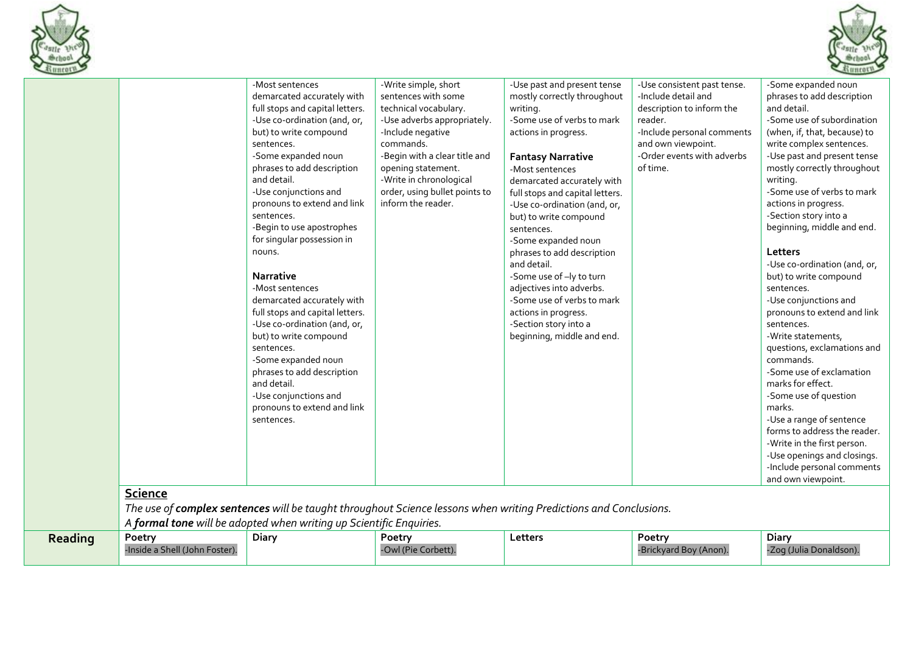



|         | Science                                  | -Most sentences<br>demarcated accurately with<br>full stops and capital letters.<br>-Use co-ordination (and, or,<br>but) to write compound<br>sentences.<br>-Some expanded noun<br>phrases to add description<br>and detail.<br>-Use conjunctions and<br>pronouns to extend and link<br>sentences.<br>-Begin to use apostrophes<br>for singular possession in<br>nouns.<br><b>Narrative</b><br>-Most sentences<br>demarcated accurately with<br>full stops and capital letters.<br>-Use co-ordination (and, or,<br>but) to write compound<br>sentences.<br>-Some expanded noun<br>phrases to add description<br>and detail.<br>-Use conjunctions and<br>pronouns to extend and link<br>sentences. | -Write simple, short<br>sentences with some<br>technical vocabulary.<br>-Use adverbs appropriately.<br>-Include negative<br>commands.<br>-Begin with a clear title and<br>opening statement.<br>-Write in chronological<br>order, using bullet points to<br>inform the reader. | -Use past and present tense<br>mostly correctly throughout<br>writing.<br>-Some use of verbs to mark<br>actions in progress.<br><b>Fantasy Narrative</b><br>-Most sentences<br>demarcated accurately with<br>full stops and capital letters.<br>-Use co-ordination (and, or,<br>but) to write compound<br>sentences.<br>-Some expanded noun<br>phrases to add description<br>and detail.<br>-Some use of -ly to turn<br>adjectives into adverbs.<br>-Some use of verbs to mark<br>actions in progress.<br>-Section story into a<br>beginning, middle and end. | -Use consistent past tense.<br>-Include detail and<br>description to inform the<br>reader.<br>-Include personal comments<br>and own viewpoint.<br>-Order events with adverbs<br>of time. | -Some expanded noun<br>phrases to add description<br>and detail.<br>-Some use of subordination<br>(when, if, that, because) to<br>write complex sentences.<br>-Use past and present tense<br>mostly correctly throughout<br>writing.<br>-Some use of verbs to mark<br>actions in progress.<br>-Section story into a<br>beginning, middle and end.<br>Letters<br>-Use co-ordination (and, or,<br>but) to write compound<br>sentences.<br>-Use conjunctions and<br>pronouns to extend and link<br>sentences.<br>-Write statements,<br>questions, exclamations and<br>commands.<br>-Some use of exclamation<br>marks for effect.<br>-Some use of question<br>marks.<br>-Use a range of sentence<br>forms to address the reader.<br>-Write in the first person.<br>-Use openings and closings.<br>-Include personal comments<br>and own viewpoint. |
|---------|------------------------------------------|---------------------------------------------------------------------------------------------------------------------------------------------------------------------------------------------------------------------------------------------------------------------------------------------------------------------------------------------------------------------------------------------------------------------------------------------------------------------------------------------------------------------------------------------------------------------------------------------------------------------------------------------------------------------------------------------------|--------------------------------------------------------------------------------------------------------------------------------------------------------------------------------------------------------------------------------------------------------------------------------|---------------------------------------------------------------------------------------------------------------------------------------------------------------------------------------------------------------------------------------------------------------------------------------------------------------------------------------------------------------------------------------------------------------------------------------------------------------------------------------------------------------------------------------------------------------|------------------------------------------------------------------------------------------------------------------------------------------------------------------------------------------|------------------------------------------------------------------------------------------------------------------------------------------------------------------------------------------------------------------------------------------------------------------------------------------------------------------------------------------------------------------------------------------------------------------------------------------------------------------------------------------------------------------------------------------------------------------------------------------------------------------------------------------------------------------------------------------------------------------------------------------------------------------------------------------------------------------------------------------------|
|         |                                          | A formal tone will be adopted when writing up Scientific Enquiries.                                                                                                                                                                                                                                                                                                                                                                                                                                                                                                                                                                                                                               |                                                                                                                                                                                                                                                                                | The use of complex sentences will be taught throughout Science lessons when writing Predictions and Conclusions.                                                                                                                                                                                                                                                                                                                                                                                                                                              |                                                                                                                                                                                          |                                                                                                                                                                                                                                                                                                                                                                                                                                                                                                                                                                                                                                                                                                                                                                                                                                                |
| Reading | Poetry<br>-Inside a Shell (John Foster). | <b>Diary</b>                                                                                                                                                                                                                                                                                                                                                                                                                                                                                                                                                                                                                                                                                      | Poetry<br>-Owl (Pie Corbett).                                                                                                                                                                                                                                                  | Letters                                                                                                                                                                                                                                                                                                                                                                                                                                                                                                                                                       | Poetry<br>-Brickyard Boy (Anon).                                                                                                                                                         | <b>Diary</b><br>-Zog (Julia Donaldson).                                                                                                                                                                                                                                                                                                                                                                                                                                                                                                                                                                                                                                                                                                                                                                                                        |
|         |                                          |                                                                                                                                                                                                                                                                                                                                                                                                                                                                                                                                                                                                                                                                                                   |                                                                                                                                                                                                                                                                                |                                                                                                                                                                                                                                                                                                                                                                                                                                                                                                                                                               |                                                                                                                                                                                          |                                                                                                                                                                                                                                                                                                                                                                                                                                                                                                                                                                                                                                                                                                                                                                                                                                                |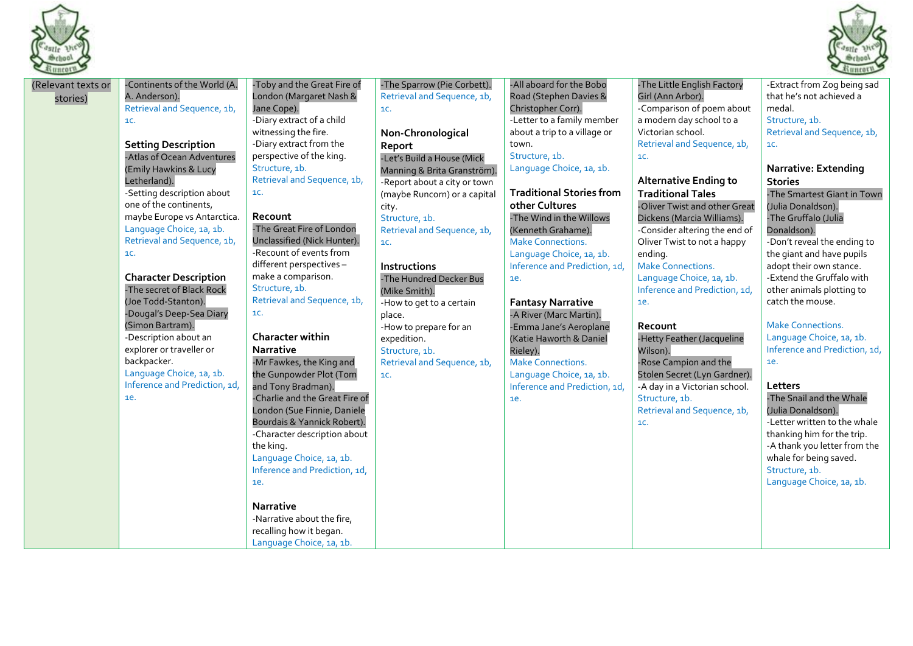



| $\sim$                         |                                                                                                                                                                                                                                                                                                                                                                                                                                                                                                                                                                                                                                      |                                                                                                                                                                                                                                                                                                                                                                                                                                                                                                                                                                                                                                                                                                                                                                                                                                                                                                                    |                                                                                                                                                                                                                                                                                                                                                                                                                                                                                                                 |                                                                                                                                                                                                                                                                                                                                                                                                                                                                                                                                                                                                                              |                                                                                                                                                                                                                                                                                                                                                                                                                                                                                                                                                                                                                                                                                   | $\frac{33}{22}$ lilltory                                                                                                                                                                                                                                                                                                                                                                                                                                                                                                                                                                                                                                                                                                                                                       |
|--------------------------------|--------------------------------------------------------------------------------------------------------------------------------------------------------------------------------------------------------------------------------------------------------------------------------------------------------------------------------------------------------------------------------------------------------------------------------------------------------------------------------------------------------------------------------------------------------------------------------------------------------------------------------------|--------------------------------------------------------------------------------------------------------------------------------------------------------------------------------------------------------------------------------------------------------------------------------------------------------------------------------------------------------------------------------------------------------------------------------------------------------------------------------------------------------------------------------------------------------------------------------------------------------------------------------------------------------------------------------------------------------------------------------------------------------------------------------------------------------------------------------------------------------------------------------------------------------------------|-----------------------------------------------------------------------------------------------------------------------------------------------------------------------------------------------------------------------------------------------------------------------------------------------------------------------------------------------------------------------------------------------------------------------------------------------------------------------------------------------------------------|------------------------------------------------------------------------------------------------------------------------------------------------------------------------------------------------------------------------------------------------------------------------------------------------------------------------------------------------------------------------------------------------------------------------------------------------------------------------------------------------------------------------------------------------------------------------------------------------------------------------------|-----------------------------------------------------------------------------------------------------------------------------------------------------------------------------------------------------------------------------------------------------------------------------------------------------------------------------------------------------------------------------------------------------------------------------------------------------------------------------------------------------------------------------------------------------------------------------------------------------------------------------------------------------------------------------------|--------------------------------------------------------------------------------------------------------------------------------------------------------------------------------------------------------------------------------------------------------------------------------------------------------------------------------------------------------------------------------------------------------------------------------------------------------------------------------------------------------------------------------------------------------------------------------------------------------------------------------------------------------------------------------------------------------------------------------------------------------------------------------|
| (Relevant texts or<br>stories) | -Continents of the World (A.<br>A. Anderson).<br>Retrieval and Sequence, 1b,<br><b>1C.</b><br><b>Setting Description</b><br>-Atlas of Ocean Adventures<br>(Emily Hawkins & Lucy<br>Letherland).<br>-Setting description about<br>one of the continents,<br>maybe Europe vs Antarctica.<br>Language Choice, 1a, 1b.<br>Retrieval and Sequence, 1b,<br>1C.<br><b>Character Description</b><br>-The secret of Black Rock<br>(Joe Todd-Stanton).<br>-Dougal's Deep-Sea Diary<br>(Simon Bartram).<br>-Description about an<br>explorer or traveller or<br>backpacker.<br>Language Choice, 1a, 1b.<br>Inference and Prediction, 1d,<br>1e. | -Toby and the Great Fire of<br>London (Margaret Nash &<br>Jane Cope).<br>-Diary extract of a child<br>witnessing the fire.<br>-Diary extract from the<br>perspective of the king.<br>Structure, 1b.<br>Retrieval and Sequence, 1b,<br>1C.<br>Recount<br>-The Great Fire of London<br>Unclassified (Nick Hunter).<br>-Recount of events from<br>different perspectives -<br>make a comparison.<br>Structure, 1b.<br>Retrieval and Sequence, 1b,<br><b>1C.</b><br><b>Character within</b><br><b>Narrative</b><br>-Mr Fawkes, the King and<br>the Gunpowder Plot (Tom<br>and Tony Bradman).<br>-Charlie and the Great Fire of<br>London (Sue Finnie, Daniele<br>Bourdais & Yannick Robert).<br>-Character description about<br>the king.<br>Language Choice, 1a, 1b.<br>Inference and Prediction, 1d,<br><b>1e.</b><br>Narrative<br>-Narrative about the fire,<br>recalling how it began.<br>Language Choice, 1a, 1b. | -The Sparrow (Pie Corbett).<br>Retrieval and Sequence, 1b,<br><b>1C.</b><br>Non-Chronological<br>Report<br>-Let's Build a House (Mick<br>Manning & Brita Granström).<br>-Report about a city or town<br>(maybe Runcorn) or a capital<br>city.<br>Structure, 1b.<br>Retrieval and Sequence, 1b,<br>1C.<br><b>Instructions</b><br>-The Hundred Decker Bus<br>(Mike Smith).<br>-How to get to a certain<br>place.<br>-How to prepare for an<br>expedition.<br>Structure, 1b.<br>Retrieval and Sequence, 1b,<br>1C. | -All aboard for the Bobo<br>Road (Stephen Davies &<br>Christopher Corr).<br>-Letter to a family member<br>about a trip to a village or<br>town.<br>Structure, 1b.<br>Language Choice, 1a, 1b.<br><b>Traditional Stories from</b><br>other Cultures<br>-The Wind in the Willows<br>(Kenneth Grahame).<br><b>Make Connections.</b><br>Language Choice, 1a, 1b.<br>Inference and Prediction, 1d,<br>ie.<br><b>Fantasy Narrative</b><br>-A River (Marc Martin).<br>-Emma Jane's Aeroplane<br>(Katie Haworth & Daniel<br>Rieley).<br><b>Make Connections.</b><br>Language Choice, 1a, 1b.<br>Inference and Prediction, 1d,<br>ie. | -The Little English Factory<br>Girl (Ann Arbor).<br>-Comparison of poem about<br>a modern day school to a<br>Victorian school.<br>Retrieval and Sequence, 1b,<br>1C.<br><b>Alternative Ending to</b><br><b>Traditional Tales</b><br>-Oliver Twist and other Great<br>Dickens (Marcia Williams).<br>-Consider altering the end of<br>Oliver Twist to not a happy<br>ending.<br><b>Make Connections.</b><br>Language Choice, 1a, 1b.<br>Inference and Prediction, 1d,<br>1e.<br>Recount<br>-Hetty Feather (Jacqueline<br>Wilson).<br>-Rose Campion and the<br>Stolen Secret (Lyn Gardner).<br>-A day in a Victorian school.<br>Structure, 1b.<br>Retrieval and Sequence, 1b,<br>1C. | -Extract from Zog being sad<br>that he's not achieved a<br>medal.<br>Structure, 1b.<br>Retrieval and Sequence, 1b,<br>1C.<br><b>Narrative: Extending</b><br><b>Stories</b><br>-The Smartest Giant in Town<br>(Julia Donaldson).<br>-The Gruffalo (Julia<br>Donaldson).<br>-Don't reveal the ending to<br>the giant and have pupils<br>adopt their own stance.<br>-Extend the Gruffalo with<br>other animals plotting to<br>catch the mouse.<br><b>Make Connections.</b><br>Language Choice, 1a, 1b.<br>Inference and Prediction, 1d,<br>1e.<br>Letters<br>-The Snail and the Whale<br>(Julia Donaldson).<br>-Letter written to the whale<br>thanking him for the trip.<br>-A thank you letter from the<br>whale for being saved.<br>Structure, 1b.<br>Language Choice, 1a, 1b. |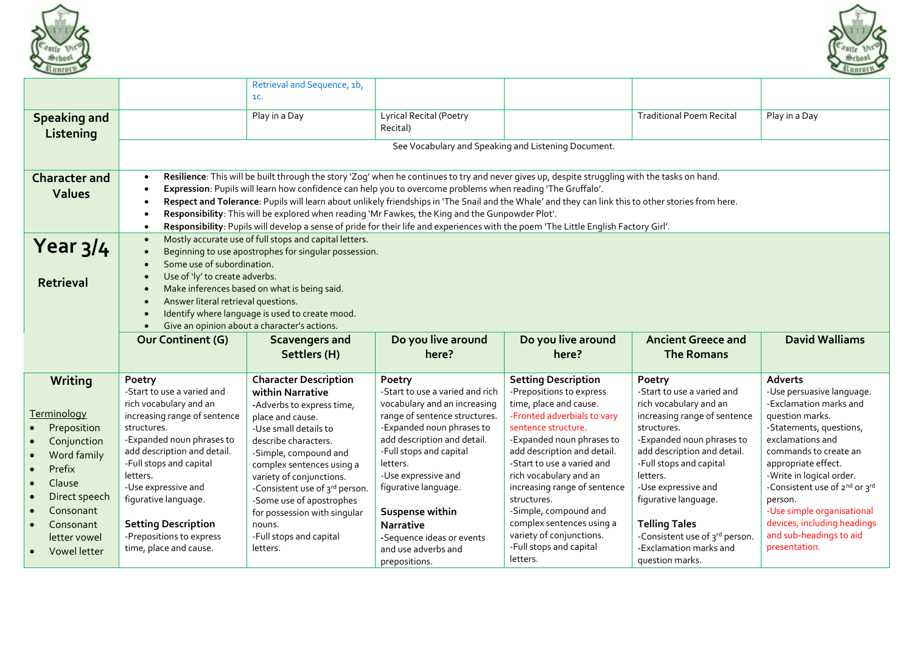



|                                                           |                                                                                                               | Retrieval and Sequence, 1b,                                                                                                                                                                                                                                                                                                                                                                                                                                                                                                                                                                                                                                      |                                                                                                            |                                                                                                                 |                                                                                                |                                                                                          |  |  |  |
|-----------------------------------------------------------|---------------------------------------------------------------------------------------------------------------|------------------------------------------------------------------------------------------------------------------------------------------------------------------------------------------------------------------------------------------------------------------------------------------------------------------------------------------------------------------------------------------------------------------------------------------------------------------------------------------------------------------------------------------------------------------------------------------------------------------------------------------------------------------|------------------------------------------------------------------------------------------------------------|-----------------------------------------------------------------------------------------------------------------|------------------------------------------------------------------------------------------------|------------------------------------------------------------------------------------------|--|--|--|
| <b>Speaking and</b>                                       |                                                                                                               | 1C.<br>Play in a Day                                                                                                                                                                                                                                                                                                                                                                                                                                                                                                                                                                                                                                             | Lyrical Recital (Poetry                                                                                    |                                                                                                                 | <b>Traditional Poem Recital</b>                                                                | Play in a Day                                                                            |  |  |  |
| Listening                                                 |                                                                                                               |                                                                                                                                                                                                                                                                                                                                                                                                                                                                                                                                                                                                                                                                  | Recital)                                                                                                   |                                                                                                                 |                                                                                                |                                                                                          |  |  |  |
|                                                           |                                                                                                               |                                                                                                                                                                                                                                                                                                                                                                                                                                                                                                                                                                                                                                                                  | See Vocabulary and Speaking and Listening Document.                                                        |                                                                                                                 |                                                                                                |                                                                                          |  |  |  |
| <b>Character and</b><br><b>Values</b>                     | $\bullet$<br>$\bullet$<br>$\bullet$<br>$\bullet$<br>$\bullet$                                                 | Resilience: This will be built through the story 'Zog' when he continues to try and never gives up, despite struggling with the tasks on hand.<br>Expression: Pupils will learn how confidence can help you to overcome problems when reading 'The Gruffalo'.<br>Respect and Tolerance: Pupils will learn about unlikely friendships in 'The Snail and the Whale' and they can link this to other stories from here.<br>Responsibility: This will be explored when reading 'Mr Fawkes, the King and the Gunpowder Plot'.<br>Responsibility: Pupils will develop a sense of pride for their life and experiences with the poem 'The Little English Factory Girl'. |                                                                                                            |                                                                                                                 |                                                                                                |                                                                                          |  |  |  |
| Year $3/4$<br><b>Retrieval</b>                            | $\bullet$<br>$\bullet$<br>$\bullet$<br>$\bullet$<br>$\bullet$<br>$\bullet$<br>$\bullet$<br>$\bullet$          | Mostly accurate use of full stops and capital letters.<br>Beginning to use apostrophes for singular possession.<br>Some use of subordination.<br>Use of 'ly' to create adverbs.<br>Make inferences based on what is being said.<br>Answer literal retrieval questions.<br>Identify where language is used to create mood.<br>Give an opinion about a character's actions.                                                                                                                                                                                                                                                                                        |                                                                                                            |                                                                                                                 |                                                                                                |                                                                                          |  |  |  |
|                                                           | <b>Our Continent (G)</b>                                                                                      | <b>Scavengers and</b><br>Settlers (H)                                                                                                                                                                                                                                                                                                                                                                                                                                                                                                                                                                                                                            | Do you live around<br>here?                                                                                | Do you live around<br>here?                                                                                     | <b>Ancient Greece and</b><br><b>The Romans</b>                                                 | <b>David Walliams</b>                                                                    |  |  |  |
| Writing<br><b>Terminology</b><br>Preposition<br>$\bullet$ | Poetry<br>-Start to use a varied and<br>rich vocabulary and an<br>increasing range of sentence<br>structures. | <b>Character Description</b><br>within Narrative<br>-Adverbs to express time,<br>place and cause.                                                                                                                                                                                                                                                                                                                                                                                                                                                                                                                                                                | Poetry<br>-Start to use a varied and rich<br>vocabulary and an increasing<br>range of sentence structures. | <b>Setting Description</b><br>-Prepositions to express<br>time, place and cause.<br>-Fronted adverbials to vary | Poetry<br>-Start to use a varied and<br>rich vocabulary and an<br>increasing range of sentence | <b>Adverts</b><br>-Use persuasive language.<br>-Exclamation marks and<br>question marks. |  |  |  |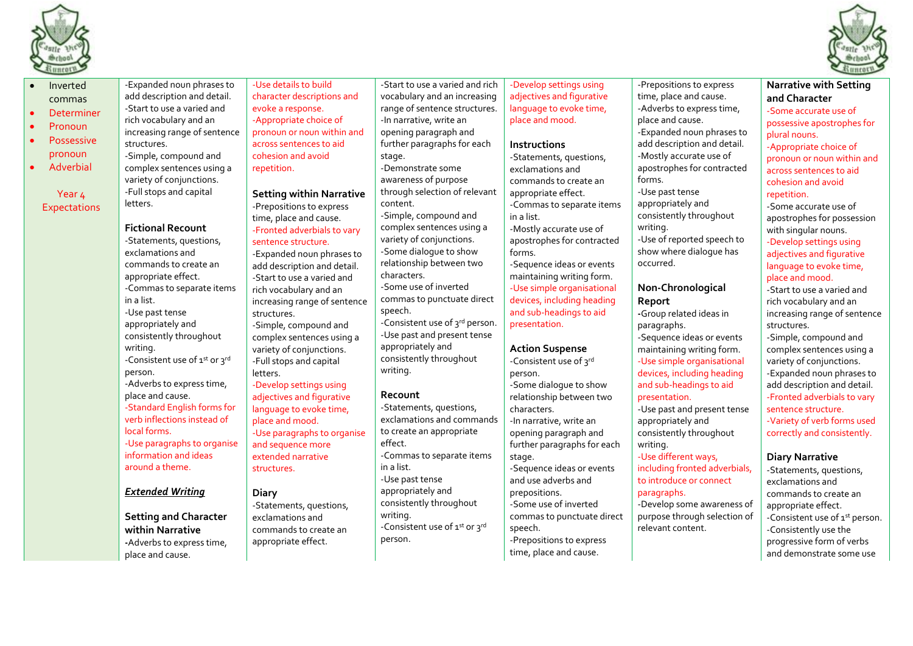



| $51$ HHERE $\frac{1}{2}$ |                               |                                 |                                 |                             |                               | $\frac{33 \text{ H H C} + 1}{2}$ |
|--------------------------|-------------------------------|---------------------------------|---------------------------------|-----------------------------|-------------------------------|----------------------------------|
| Inverted                 | -Expanded noun phrases to     | -Use details to build           | -Start to use a varied and rich | -Develop settings using     | -Prepositions to express      | <b>Narrative with Setting</b>    |
| commas                   | add description and detail.   | character descriptions and      | vocabulary and an increasing    | adjectives and figurative   | time, place and cause.        | and Character                    |
| <b>Determiner</b>        | -Start to use a varied and    | evoke a response.               | range of sentence structures.   | language to evoke time,     | -Adverbs to express time,     | -Some accurate use of            |
| Pronoun                  | rich vocabulary and an        | -Appropriate choice of          | -In narrative, write an         | place and mood.             | place and cause.              | possessive apostrophes for       |
|                          | increasing range of sentence  | pronoun or noun within and      | opening paragraph and           |                             | -Expanded noun phrases to     | plural nouns.                    |
| <b>Possessive</b>        | structures.                   | across sentences to aid         | further paragraphs for each     | <b>Instructions</b>         | add description and detail.   | -Appropriate choice of           |
| pronoun                  | -Simple, compound and         | cohesion and avoid              | stage.                          | -Statements, questions,     | -Mostly accurate use of       | pronoun or noun within and       |
| Adverbial                | complex sentences using a     | repetition.                     | -Demonstrate some               | exclamations and            | apostrophes for contracted    | across sentences to aid          |
|                          | variety of conjunctions.      |                                 | awareness of purpose            | commands to create an       | forms.                        | cohesion and avoid               |
| Year <sub>4</sub>        | -Full stops and capital       | <b>Setting within Narrative</b> | through selection of relevant   | appropriate effect.         | -Use past tense               | repetition.                      |
| <b>Expectations</b>      | letters.                      | -Prepositions to express        | content.                        | -Commas to separate items   | appropriately and             | -Some accurate use of            |
|                          |                               | time, place and cause.          | -Simple, compound and           | in a list.                  | consistently throughout       | apostrophes for possession       |
|                          | <b>Fictional Recount</b>      | -Fronted adverbials to vary     | complex sentences using a       | -Mostly accurate use of     | writing.                      | with singular nouns.             |
|                          | -Statements, questions,       | sentence structure.             | variety of conjunctions.        | apostrophes for contracted  | -Use of reported speech to    | -Develop settings using          |
|                          | exclamations and              | -Expanded noun phrases to       | -Some dialogue to show          | forms.                      | show where dialogue has       | adjectives and figurative        |
|                          | commands to create an         | add description and detail.     | relationship between two        | -Sequence ideas or events   | occurred.                     | language to evoke time,          |
|                          | appropriate effect.           | -Start to use a varied and      | characters.                     | maintaining writing form.   |                               | place and mood.                  |
|                          | -Commas to separate items     | rich vocabulary and an          | -Some use of inverted           | -Use simple organisational  | Non-Chronological             | -Start to use a varied and       |
|                          | in a list.                    | increasing range of sentence    | commas to punctuate direct      | devices, including heading  | Report                        | rich vocabulary and an           |
|                          | -Use past tense               | structures.                     | speech.                         | and sub-headings to aid     | -Group related ideas in       | increasing range of sentence     |
|                          | appropriately and             | -Simple, compound and           | -Consistent use of 3rd person.  | presentation.               | paragraphs.                   | structures.                      |
|                          | consistently throughout       | complex sentences using a       | -Use past and present tense     |                             | -Sequence ideas or events     | -Simple, compound and            |
|                          | writing.                      | variety of conjunctions.        | appropriately and               | <b>Action Suspense</b>      | maintaining writing form.     | complex sentences using a        |
|                          | -Consistent use of 1st or 3rd | -Full stops and capital         | consistently throughout         | -Consistent use of 3rd      | -Use simple organisational    | variety of conjunctions.         |
|                          | person.                       | letters.                        | writing.                        | person.                     | devices, including heading    | -Expanded noun phrases to        |
|                          | -Adverbs to express time,     | -Develop settings using         |                                 | -Some dialogue to show      | and sub-headings to aid       | add description and detail.      |
|                          | place and cause.              | adjectives and figurative       | Recount                         | relationship between two    | presentation.                 | -Fronted adverbials to vary      |
|                          | -Standard English forms for   | language to evoke time,         | -Statements, questions,         | characters.                 | -Use past and present tense   | sentence structure.              |
|                          | verb inflections instead of   | place and mood.                 | exclamations and commands       | -In narrative, write an     | appropriately and             | -Variety of verb forms used      |
|                          | local forms.                  | -Use paragraphs to organise     | to create an appropriate        | opening paragraph and       | consistently throughout       | correctly and consistently.      |
|                          | -Use paragraphs to organise   | and sequence more               | effect.                         | further paragraphs for each | writing.                      |                                  |
|                          | information and ideas         | extended narrative              | -Commas to separate items       | stage.                      | -Use different ways,          | <b>Diary Narrative</b>           |
|                          | around a theme.               | structures.                     | in a list.                      | -Sequence ideas or events   | including fronted adverbials, | -Statements, questions,          |
|                          |                               |                                 | -Use past tense                 | and use adverbs and         | to introduce or connect       | exclamations and                 |
|                          | <b>Extended Writing</b>       | <b>Diary</b>                    | appropriately and               | prepositions.               | paragraphs.                   | commands to create an            |
|                          |                               | -Statements, questions,         | consistently throughout         | -Some use of inverted       | -Develop some awareness of    | appropriate effect.              |
|                          | <b>Setting and Character</b>  | exclamations and                | writing.                        | commas to punctuate direct  | purpose through selection of  | -Consistent use of 1st person.   |
|                          | within Narrative              | commands to create an           | -Consistent use of 1st or 3rd   | speech.                     | relevant content.             | -Consistently use the            |
|                          | -Adverbs to express time,     | appropriate effect.             | person.                         | -Prepositions to express    |                               | progressive form of verbs        |
|                          | place and cause.              |                                 |                                 | time, place and cause.      |                               | and demonstrate some use         |
|                          |                               |                                 |                                 |                             |                               |                                  |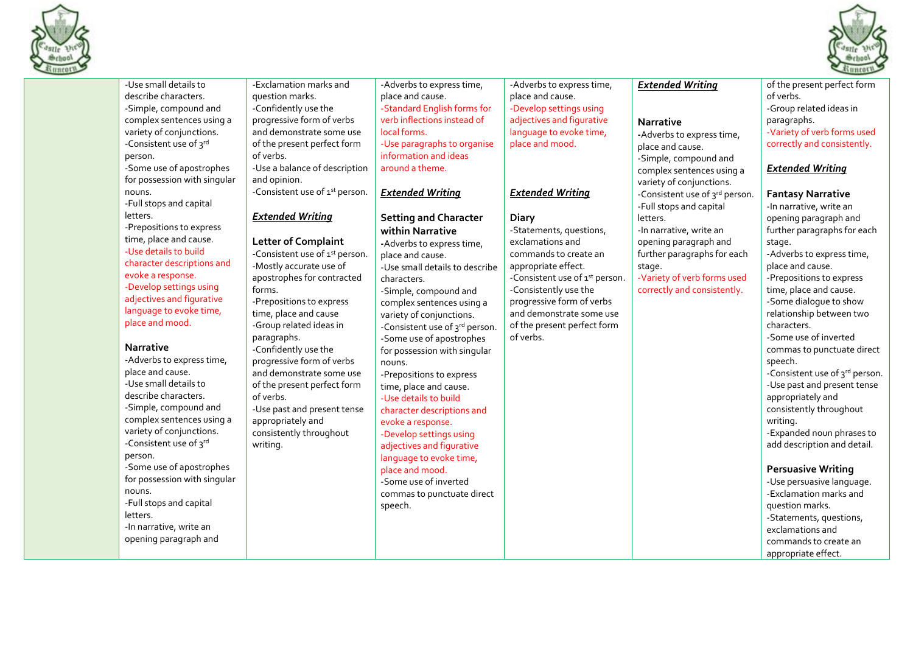



|                                                                                                                                                                                                                                                                                                                                                                                                                                                                                                                                                                                                                                                                                                     |                                                                                                                                                                                                                                                                                                                                                                                                                                                                                                                     |                                                                                                                                                                                                                                                                                                                                                                                                                                                                                                                                                                                                                                                                                   |                                                                                                                                                                                                                                                                                                        |                                                                                                                                                                                                                                  | 2111111                                                                                                                                                                                                                                                                                                                                                                                                                                                                                                                                                                                                                                                                                                                                                            |
|-----------------------------------------------------------------------------------------------------------------------------------------------------------------------------------------------------------------------------------------------------------------------------------------------------------------------------------------------------------------------------------------------------------------------------------------------------------------------------------------------------------------------------------------------------------------------------------------------------------------------------------------------------------------------------------------------------|---------------------------------------------------------------------------------------------------------------------------------------------------------------------------------------------------------------------------------------------------------------------------------------------------------------------------------------------------------------------------------------------------------------------------------------------------------------------------------------------------------------------|-----------------------------------------------------------------------------------------------------------------------------------------------------------------------------------------------------------------------------------------------------------------------------------------------------------------------------------------------------------------------------------------------------------------------------------------------------------------------------------------------------------------------------------------------------------------------------------------------------------------------------------------------------------------------------------|--------------------------------------------------------------------------------------------------------------------------------------------------------------------------------------------------------------------------------------------------------------------------------------------------------|----------------------------------------------------------------------------------------------------------------------------------------------------------------------------------------------------------------------------------|--------------------------------------------------------------------------------------------------------------------------------------------------------------------------------------------------------------------------------------------------------------------------------------------------------------------------------------------------------------------------------------------------------------------------------------------------------------------------------------------------------------------------------------------------------------------------------------------------------------------------------------------------------------------------------------------------------------------------------------------------------------------|
| -Use small details to<br>describe characters.<br>-Simple, compound and<br>complex sentences using a<br>variety of conjunctions.<br>-Consistent use of 3rd<br>person.<br>-Some use of apostrophes<br>for possession with singular                                                                                                                                                                                                                                                                                                                                                                                                                                                                    | -Exclamation marks and<br>question marks.<br>-Confidently use the<br>progressive form of verbs<br>and demonstrate some use<br>of the present perfect form<br>of verbs.<br>-Use a balance of description<br>and opinion.                                                                                                                                                                                                                                                                                             | -Adverbs to express time,<br>place and cause.<br>-Standard English forms for<br>verb inflections instead of<br>local forms.<br>-Use paragraphs to organise<br>information and ideas<br>around a theme.                                                                                                                                                                                                                                                                                                                                                                                                                                                                            | -Adverbs to express time,<br>place and cause.<br>-Develop settings using<br>adjectives and figurative<br>language to evoke time,<br>place and mood.                                                                                                                                                    | <b>Extended Writing</b><br><b>Narrative</b><br>-Adverbs to express time,<br>place and cause.<br>-Simple, compound and<br>complex sentences using a<br>variety of conjunctions.                                                   | of the present perfect form<br>of verbs.<br>-Group related ideas in<br>paragraphs.<br>-Variety of verb forms used<br>correctly and consistently.<br><b>Extended Writing</b>                                                                                                                                                                                                                                                                                                                                                                                                                                                                                                                                                                                        |
| nouns.<br>-Full stops and capital<br>letters.<br>-Prepositions to express<br>time, place and cause.<br>-Use details to build<br>character descriptions and<br>evoke a response.<br>-Develop settings using<br>adjectives and figurative<br>language to evoke time,<br>place and mood.<br><b>Narrative</b><br>-Adverbs to express time,<br>place and cause.<br>-Use small details to<br>describe characters.<br>-Simple, compound and<br>complex sentences using a<br>variety of conjunctions.<br>-Consistent use of 3rd<br>person.<br>-Some use of apostrophes<br>for possession with singular<br>nouns.<br>-Full stops and capital<br>letters.<br>-In narrative, write an<br>opening paragraph and | -Consistent use of 1st person.<br><b>Extended Writing</b><br><b>Letter of Complaint</b><br>-Consistent use of 1st person.<br>-Mostly accurate use of<br>apostrophes for contracted<br>forms.<br>-Prepositions to express<br>time, place and cause<br>-Group related ideas in<br>paragraphs.<br>-Confidently use the<br>progressive form of verbs<br>and demonstrate some use<br>of the present perfect form<br>of verbs.<br>-Use past and present tense<br>appropriately and<br>consistently throughout<br>writing. | <b>Extended Writing</b><br><b>Setting and Character</b><br>within Narrative<br>-Adverbs to express time,<br>place and cause.<br>-Use small details to describe<br>characters.<br>-Simple, compound and<br>complex sentences using a<br>variety of conjunctions.<br>-Consistent use of 3rd person.<br>-Some use of apostrophes<br>for possession with singular<br>nouns.<br>-Prepositions to express<br>time, place and cause.<br>-Use details to build<br>character descriptions and<br>evoke a response.<br>-Develop settings using<br>adjectives and figurative<br>language to evoke time,<br>place and mood.<br>-Some use of inverted<br>commas to punctuate direct<br>speech. | <b>Extended Writing</b><br><b>Diary</b><br>-Statements, questions,<br>exclamations and<br>commands to create an<br>appropriate effect.<br>-Consistent use of 1st person.<br>-Consistently use the<br>progressive form of verbs<br>and demonstrate some use<br>of the present perfect form<br>of verbs. | -Consistent use of 3rd person.<br>-Full stops and capital<br>letters.<br>-In narrative, write an<br>opening paragraph and<br>further paragraphs for each<br>stage.<br>-Variety of verb forms used<br>correctly and consistently. | <b>Fantasy Narrative</b><br>-In narrative, write an<br>opening paragraph and<br>further paragraphs for each<br>stage.<br>-Adverbs to express time,<br>place and cause.<br>-Prepositions to express<br>time, place and cause.<br>-Some dialogue to show<br>relationship between two<br>characters.<br>-Some use of inverted<br>commas to punctuate direct<br>speech.<br>-Consistent use of 3rd person.<br>-Use past and present tense<br>appropriately and<br>consistently throughout<br>writing.<br>-Expanded noun phrases to<br>add description and detail.<br><b>Persuasive Writing</b><br>-Use persuasive language.<br>-Exclamation marks and<br>question marks.<br>-Statements, questions,<br>exclamations and<br>commands to create an<br>appropriate effect. |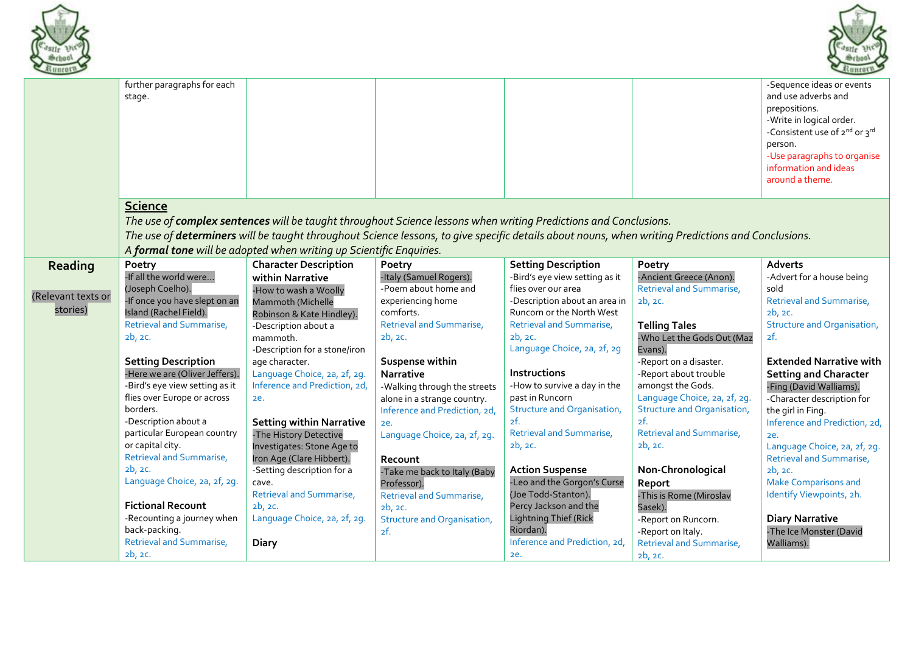



|                    | further paragraphs for each<br>stage.                   |                                                                     |                                                                                                                                                                                                                                                                       |                                                            |                                    | -Sequence ideas or events<br>and use adverbs and<br>prepositions.<br>-Write in logical order.<br>-Consistent use of 2nd or 3rd<br>person.<br>-Use paragraphs to organise<br>information and ideas<br>around a theme. |
|--------------------|---------------------------------------------------------|---------------------------------------------------------------------|-----------------------------------------------------------------------------------------------------------------------------------------------------------------------------------------------------------------------------------------------------------------------|------------------------------------------------------------|------------------------------------|----------------------------------------------------------------------------------------------------------------------------------------------------------------------------------------------------------------------|
|                    | <b>Science</b>                                          | A formal tone will be adopted when writing up Scientific Enquiries. | The use of complex sentences will be taught throughout Science lessons when writing Predictions and Conclusions.<br>The use of determiners will be taught throughout Science lessons, to give specific details about nouns, when writing Predictions and Conclusions. |                                                            |                                    |                                                                                                                                                                                                                      |
| Reading            | Poetry                                                  | <b>Character Description</b>                                        | Poetry                                                                                                                                                                                                                                                                | <b>Setting Description</b>                                 | Poetry                             | Adverts                                                                                                                                                                                                              |
|                    | -If all the world were                                  | within Narrative                                                    | -Italy (Samuel Rogers).                                                                                                                                                                                                                                               | -Bird's eye view setting as it                             | -Ancient Greece (Anon).            | -Advert for a house being                                                                                                                                                                                            |
| (Relevant texts or | (Joseph Coelho).                                        | -How to wash a Woolly                                               | -Poem about home and                                                                                                                                                                                                                                                  | flies over our area                                        | <b>Retrieval and Summarise,</b>    | sold                                                                                                                                                                                                                 |
| stories)           | -If once you have slept on an<br>Island (Rachel Field). | Mammoth (Michelle                                                   | experiencing home<br>comforts.                                                                                                                                                                                                                                        | -Description about an area in<br>Runcorn or the North West | 2b, 2c.                            | Retrieval and Summarise,<br>2b, 2c.                                                                                                                                                                                  |
|                    | <b>Retrieval and Summarise,</b>                         | Robinson & Kate Hindley).<br>-Description about a                   | Retrieval and Summarise,                                                                                                                                                                                                                                              | Retrieval and Summarise,                                   | <b>Telling Tales</b>               | <b>Structure and Organisation,</b>                                                                                                                                                                                   |
|                    | 2b, 2c.                                                 | mammoth.                                                            | 2b, 2c.                                                                                                                                                                                                                                                               | 2b, 2c.                                                    | -Who Let the Gods Out (Maz         | 2f.                                                                                                                                                                                                                  |
|                    |                                                         | -Description for a stone/iron                                       |                                                                                                                                                                                                                                                                       | Language Choice, 2a, 2f, 2g                                | Evans).                            |                                                                                                                                                                                                                      |
|                    | <b>Setting Description</b>                              | age character.                                                      | Suspense within                                                                                                                                                                                                                                                       |                                                            | -Report on a disaster.             | <b>Extended Narrative with</b>                                                                                                                                                                                       |
|                    | -Here we are (Oliver Jeffers).                          | Language Choice, 2a, 2f, 2g.                                        | <b>Narrative</b>                                                                                                                                                                                                                                                      | <b>Instructions</b>                                        | -Report about trouble              | <b>Setting and Character</b>                                                                                                                                                                                         |
|                    | -Bird's eye view setting as it                          | Inference and Prediction, 2d,                                       | -Walking through the streets                                                                                                                                                                                                                                          | -How to survive a day in the                               | amongst the Gods.                  | -Fing (David Walliams).                                                                                                                                                                                              |
|                    | flies over Europe or across                             | ze.                                                                 | alone in a strange country.                                                                                                                                                                                                                                           | past in Runcorn                                            | Language Choice, 2a, 2f, 2g.       | -Character description for                                                                                                                                                                                           |
|                    | borders.                                                |                                                                     | Inference and Prediction, 2d,                                                                                                                                                                                                                                         | Structure and Organisation,                                | <b>Structure and Organisation,</b> | the girl in Fing.                                                                                                                                                                                                    |
|                    | -Description about a                                    | <b>Setting within Narrative</b>                                     | 2e.                                                                                                                                                                                                                                                                   | 2f.                                                        | 2f.                                | Inference and Prediction, 2d,                                                                                                                                                                                        |
|                    | particular European country                             | -The History Detective                                              | Language Choice, 2a, 2f, 2g.                                                                                                                                                                                                                                          | <b>Retrieval and Summarise,</b>                            | Retrieval and Summarise,           | 2e.                                                                                                                                                                                                                  |
|                    | or capital city.                                        | Investigates: Stone Age to                                          |                                                                                                                                                                                                                                                                       | 2b, 2c.                                                    | 2b, 2c.                            | Language Choice, 2a, 2f, 2g.                                                                                                                                                                                         |
|                    | Retrieval and Summarise,                                | Iron Age (Clare Hibbert).                                           | Recount                                                                                                                                                                                                                                                               |                                                            |                                    | Retrieval and Summarise,                                                                                                                                                                                             |
|                    | 2b, 2c.                                                 | -Setting description for a                                          | -Take me back to Italy (Baby                                                                                                                                                                                                                                          | <b>Action Suspense</b>                                     | Non-Chronological                  | 2b, 2c.                                                                                                                                                                                                              |
|                    | Language Choice, 2a, 2f, 2g.                            | cave.                                                               | Professor).                                                                                                                                                                                                                                                           | -Leo and the Gorgon's Curse                                | Report                             | <b>Make Comparisons and</b>                                                                                                                                                                                          |
|                    |                                                         | Retrieval and Summarise,                                            | Retrieval and Summarise,                                                                                                                                                                                                                                              | (Joe Todd-Stanton).                                        | -This is Rome (Miroslav            | Identify Viewpoints, 2h.                                                                                                                                                                                             |
|                    | <b>Fictional Recount</b>                                | 2b, 2c.                                                             | 2b, 2c.                                                                                                                                                                                                                                                               | Percy Jackson and the                                      | Sasek).                            |                                                                                                                                                                                                                      |
|                    | -Recounting a journey when                              | Language Choice, 2a, 2f, 2g.                                        | <b>Structure and Organisation,</b>                                                                                                                                                                                                                                    | <b>Lightning Thief (Rick</b>                               | -Report on Runcorn.                | <b>Diary Narrative</b>                                                                                                                                                                                               |
|                    | back-packing.                                           |                                                                     | 2f.                                                                                                                                                                                                                                                                   | Riordan).                                                  | -Report on Italy.                  | -The Ice Monster (David                                                                                                                                                                                              |
|                    | <b>Retrieval and Summarise,</b>                         | Diary                                                               |                                                                                                                                                                                                                                                                       | Inference and Prediction, 2d,                              | Retrieval and Summarise,           | Walliams).                                                                                                                                                                                                           |
|                    | 2b, 2c.                                                 |                                                                     |                                                                                                                                                                                                                                                                       | 2e.                                                        | 2b, 2c.                            |                                                                                                                                                                                                                      |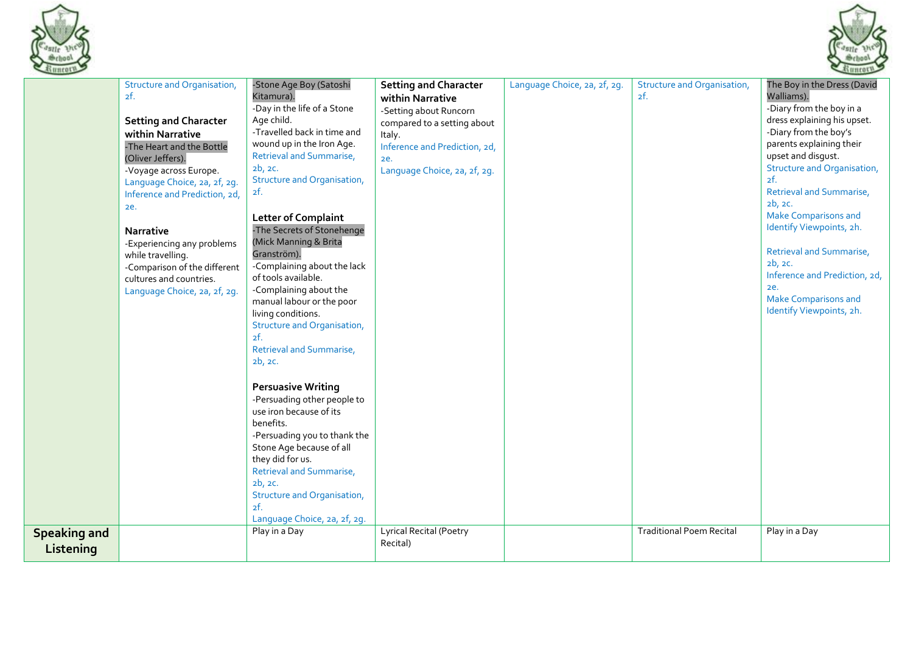



|                                  | <b>Structure and Organisation,</b><br>2f.<br><b>Setting and Character</b><br>within Narrative<br>-The Heart and the Bottle<br>(Oliver Jeffers).<br>-Voyage across Europe.<br>Language Choice, 2a, 2f, 2g.<br>Inference and Prediction, 2d,<br>ze.<br><b>Narrative</b><br>-Experiencing any problems<br>while travelling.<br>-Comparison of the different<br>cultures and countries.<br>Language Choice, 2a, 2f, 2g. | -Stone Age Boy (Satoshi<br>Kitamura).<br>-Day in the life of a Stone<br>Age child.<br>-Travelled back in time and<br>wound up in the Iron Age.<br><b>Retrieval and Summarise,</b><br>2b, 2c.<br><b>Structure and Organisation,</b><br>2f.<br><b>Letter of Complaint</b><br>-The Secrets of Stonehenge<br>(Mick Manning & Brita<br>Granström).<br>-Complaining about the lack<br>of tools available.<br>-Complaining about the<br>manual labour or the poor<br>living conditions.<br>Structure and Organisation,<br>2f.<br>Retrieval and Summarise,<br>2b, 2c. | <b>Setting and Character</b><br>within Narrative<br>-Setting about Runcorn<br>compared to a setting about<br>Italy.<br>Inference and Prediction, 2d,<br>2e.<br>Language Choice, 2a, 2f, 2g. | Language Choice, 2a, 2f, 2g. | Structure and Organisation,<br>2f. | The Boy in the Dress (David<br>Walliams).<br>-Diary from the boy in a<br>dress explaining his upset.<br>-Diary from the boy's<br>parents explaining their<br>upset and disgust.<br>Structure and Organisation,<br>2f.<br>Retrieval and Summarise,<br>2b, 2c.<br><b>Make Comparisons and</b><br>Identify Viewpoints, 2h.<br><b>Retrieval and Summarise,</b><br>2b, 2c.<br>Inference and Prediction, 2d,<br>ze.<br><b>Make Comparisons and</b><br>Identify Viewpoints, 2h. |
|----------------------------------|---------------------------------------------------------------------------------------------------------------------------------------------------------------------------------------------------------------------------------------------------------------------------------------------------------------------------------------------------------------------------------------------------------------------|---------------------------------------------------------------------------------------------------------------------------------------------------------------------------------------------------------------------------------------------------------------------------------------------------------------------------------------------------------------------------------------------------------------------------------------------------------------------------------------------------------------------------------------------------------------|---------------------------------------------------------------------------------------------------------------------------------------------------------------------------------------------|------------------------------|------------------------------------|--------------------------------------------------------------------------------------------------------------------------------------------------------------------------------------------------------------------------------------------------------------------------------------------------------------------------------------------------------------------------------------------------------------------------------------------------------------------------|
|                                  |                                                                                                                                                                                                                                                                                                                                                                                                                     | <b>Persuasive Writing</b><br>-Persuading other people to<br>use iron because of its<br>benefits.<br>-Persuading you to thank the<br>Stone Age because of all<br>they did for us.<br>Retrieval and Summarise,<br>2b, 2c.<br>Structure and Organisation,<br>2f.<br>Language Choice, 2a, 2f, 2g.                                                                                                                                                                                                                                                                 |                                                                                                                                                                                             |                              |                                    |                                                                                                                                                                                                                                                                                                                                                                                                                                                                          |
| <b>Speaking and</b><br>Listening |                                                                                                                                                                                                                                                                                                                                                                                                                     | Play in a Day                                                                                                                                                                                                                                                                                                                                                                                                                                                                                                                                                 | Lyrical Recital (Poetry<br>Recital)                                                                                                                                                         |                              | <b>Traditional Poem Recital</b>    | Play in a Day                                                                                                                                                                                                                                                                                                                                                                                                                                                            |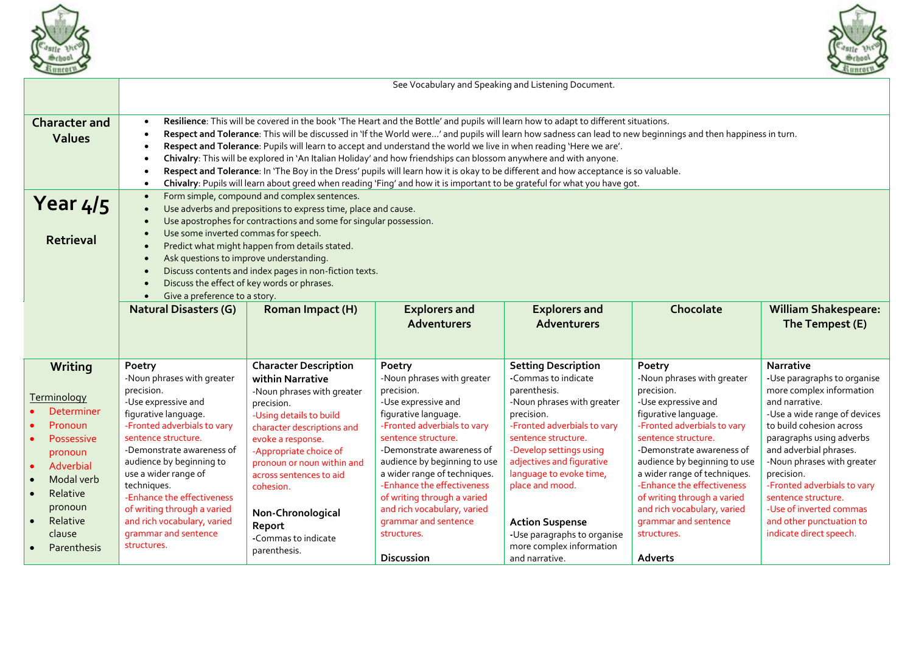



|                                                                                                                                                                                                         | See Vocabulary and Speaking and Listening Document.                                                                                                                                                                                                                                                                                                                                                                                                                                                                                                                                                                                                                                                                                                                                                                                                                                                |                                                                                                                                                                                                                                                                                                                                                  |                                                                                                                                                                                                                                                                                                                                                                                                              |                                                                                                                                                                                                                                                                                                                                                                                  |                                                                                                                                                                                                                                                                                                                                                                                                    |                                                                                                                                                                                                                                                                                                                                                                                                     |  |  |
|---------------------------------------------------------------------------------------------------------------------------------------------------------------------------------------------------------|----------------------------------------------------------------------------------------------------------------------------------------------------------------------------------------------------------------------------------------------------------------------------------------------------------------------------------------------------------------------------------------------------------------------------------------------------------------------------------------------------------------------------------------------------------------------------------------------------------------------------------------------------------------------------------------------------------------------------------------------------------------------------------------------------------------------------------------------------------------------------------------------------|--------------------------------------------------------------------------------------------------------------------------------------------------------------------------------------------------------------------------------------------------------------------------------------------------------------------------------------------------|--------------------------------------------------------------------------------------------------------------------------------------------------------------------------------------------------------------------------------------------------------------------------------------------------------------------------------------------------------------------------------------------------------------|----------------------------------------------------------------------------------------------------------------------------------------------------------------------------------------------------------------------------------------------------------------------------------------------------------------------------------------------------------------------------------|----------------------------------------------------------------------------------------------------------------------------------------------------------------------------------------------------------------------------------------------------------------------------------------------------------------------------------------------------------------------------------------------------|-----------------------------------------------------------------------------------------------------------------------------------------------------------------------------------------------------------------------------------------------------------------------------------------------------------------------------------------------------------------------------------------------------|--|--|
| <b>Character and</b><br><b>Values</b>                                                                                                                                                                   | Resilience: This will be covered in the book 'The Heart and the Bottle' and pupils will learn how to adapt to different situations.<br>$\bullet$<br>Respect and Tolerance: This will be discussed in 'If the World were' and pupils will learn how sadness can lead to new beginnings and then happiness in turn.<br>$\bullet$<br>Respect and Tolerance: Pupils will learn to accept and understand the world we live in when reading 'Here we are'.<br>$\bullet$<br>Chivalry: This will be explored in 'An Italian Holiday' and how friendships can blossom anywhere and with anyone.<br>$\bullet$<br>Respect and Tolerance: In 'The Boy in the Dress' pupils will learn how it is okay to be different and how acceptance is so valuable.<br>$\bullet$<br>Chivalry: Pupils will learn about greed when reading 'Fing' and how it is important to be grateful for what you have got.<br>$\bullet$ |                                                                                                                                                                                                                                                                                                                                                  |                                                                                                                                                                                                                                                                                                                                                                                                              |                                                                                                                                                                                                                                                                                                                                                                                  |                                                                                                                                                                                                                                                                                                                                                                                                    |                                                                                                                                                                                                                                                                                                                                                                                                     |  |  |
| Year 4/5<br><b>Retrieval</b>                                                                                                                                                                            | Form simple, compound and complex sentences.<br>$\bullet$<br>Use adverbs and prepositions to express time, place and cause.<br>$\bullet$<br>Use apostrophes for contractions and some for singular possession.<br>$\bullet$<br>Use some inverted commas for speech.<br>$\bullet$<br>Predict what might happen from details stated.<br>$\bullet$<br>Ask questions to improve understanding.<br>$\bullet$<br>Discuss contents and index pages in non-fiction texts.<br>$\bullet$<br>Discuss the effect of key words or phrases.<br>$\bullet$<br>Give a preference to a story.<br>$\bullet$                                                                                                                                                                                                                                                                                                           |                                                                                                                                                                                                                                                                                                                                                  |                                                                                                                                                                                                                                                                                                                                                                                                              |                                                                                                                                                                                                                                                                                                                                                                                  |                                                                                                                                                                                                                                                                                                                                                                                                    |                                                                                                                                                                                                                                                                                                                                                                                                     |  |  |
|                                                                                                                                                                                                         | <b>Natural Disasters (G)</b>                                                                                                                                                                                                                                                                                                                                                                                                                                                                                                                                                                                                                                                                                                                                                                                                                                                                       | Roman Impact (H)                                                                                                                                                                                                                                                                                                                                 | <b>Explorers and</b><br><b>Adventurers</b>                                                                                                                                                                                                                                                                                                                                                                   | <b>Explorers and</b><br><b>Adventurers</b>                                                                                                                                                                                                                                                                                                                                       | Chocolate                                                                                                                                                                                                                                                                                                                                                                                          | <b>William Shakespeare:</b><br>The Tempest (E)                                                                                                                                                                                                                                                                                                                                                      |  |  |
| Writing<br>Terminology<br><b>Determiner</b><br>Pronoun<br><b>Possessive</b><br>pronoun<br>Adverbial<br>Modal verb<br>$\bullet$<br>Relative<br>$\bullet$<br>pronoun<br>Relative<br>clause<br>Parenthesis | Poetry<br>-Noun phrases with greater<br>precision.<br>-Use expressive and<br>figurative language.<br>-Fronted adverbials to vary<br>sentence structure.<br>-Demonstrate awareness of<br>audience by beginning to<br>use a wider range of<br>techniques.<br>-Enhance the effectiveness<br>of writing through a varied<br>and rich vocabulary, varied<br>grammar and sentence<br>structures.                                                                                                                                                                                                                                                                                                                                                                                                                                                                                                         | <b>Character Description</b><br>within Narrative<br>-Noun phrases with greater<br>precision.<br>-Using details to build<br>character descriptions and<br>evoke a response.<br>-Appropriate choice of<br>pronoun or noun within and<br>across sentences to aid<br>cohesion.<br>Non-Chronological<br>Report<br>-Commas to indicate<br>parenthesis. | Poetry<br>-Noun phrases with greater<br>precision.<br>-Use expressive and<br>figurative language.<br>-Fronted adverbials to vary<br>sentence structure.<br>-Demonstrate awareness of<br>audience by beginning to use<br>a wider range of techniques.<br>-Enhance the effectiveness<br>of writing through a varied<br>and rich vocabulary, varied<br>grammar and sentence<br>structures.<br><b>Discussion</b> | <b>Setting Description</b><br>-Commas to indicate<br>parenthesis.<br>-Noun phrases with greater<br>precision.<br>-Fronted adverbials to vary<br>sentence structure.<br>-Develop settings using<br>adjectives and figurative<br>language to evoke time,<br>place and mood.<br><b>Action Suspense</b><br>-Use paragraphs to organise<br>more complex information<br>and narrative. | Poetry<br>-Noun phrases with greater<br>precision.<br>-Use expressive and<br>figurative language.<br>-Fronted adverbials to vary<br>sentence structure.<br>-Demonstrate awareness of<br>audience by beginning to use<br>a wider range of techniques.<br>-Enhance the effectiveness<br>of writing through a varied<br>and rich vocabulary, varied<br>grammar and sentence<br>structures.<br>Adverts | <b>Narrative</b><br>-Use paragraphs to organise<br>more complex information<br>and narrative.<br>-Use a wide range of devices<br>to build cohesion across<br>paragraphs using adverbs<br>and adverbial phrases.<br>-Noun phrases with greater<br>precision.<br>-Fronted adverbials to vary<br>sentence structure.<br>-Use of inverted commas<br>and other punctuation to<br>indicate direct speech. |  |  |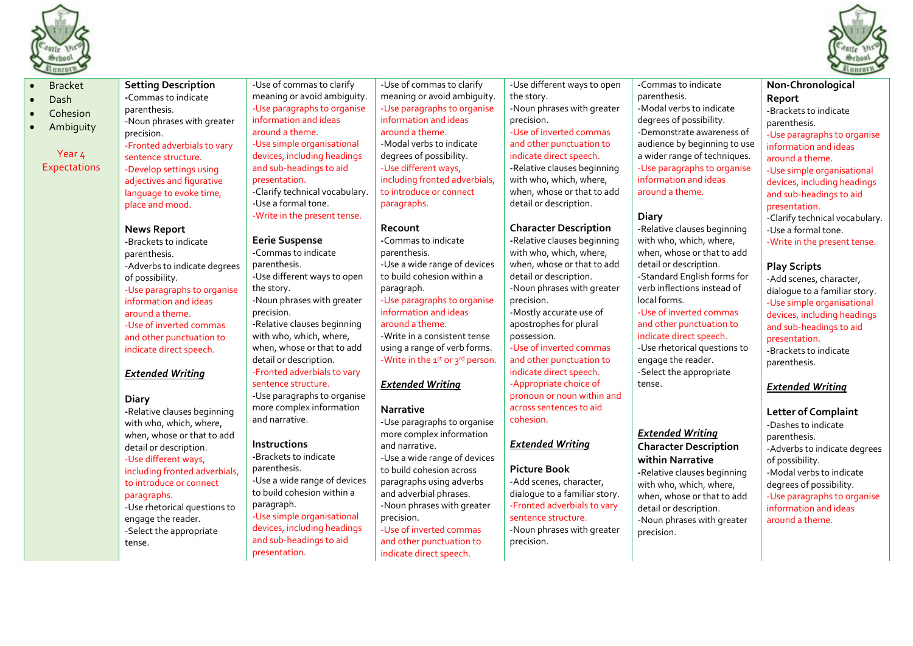



- Dash
- **Cohesion**
- Ambiguity

Bracket

Year  $\mu$ **Expectations**  **-**Commas to indicate parenthesis. -Noun phrases with greater precision. -Fronted adverbials to vary sentence structure. -Develop settings using adjectives and figurative language to evoke time. place and mood.

**Setting Description**

#### **News Report**

**-**Brackets to indicate parenthesis. -Adverbs to indicate degrees of possibility. -Use paragraphs to organise information and ideas around a theme. -Use of inverted commas and other punctuation to indicate direct speech.

## *Extended Writing*

### **Diary**

**-**Relative clauses beginning with who, which, where, when, whose or that to add detail or description. -Use different ways, including fronted adverbials, to introduce or connect paragraphs. -Use rhetorical questions to engage the reader. -Select the appropriate tense.

-Use of commas to clarify meaning or avoid ambiguity. -Use paragraphs to organise information and ideas around a theme. -Use simple organisational devices, including headings and sub-headings to aid presentation. -Clarify technical vocabulary. -Use a formal tone. -Write in the present tense.

#### **Eerie Suspense -**Commas to indicate parenthesis. -Use different ways to open the story. -Noun phrases with greater precision. **-**Relative clauses beginning with who, which, where, when, whose or that to add detail or description. -Fronted adverbials to vary sentence structure. **-**Use paragraphs to organise

more complex information and narrative.

## **Instructions**

**-**Brackets to indicate parenthesis. -Use a wide range of devices to build cohesion within a paragraph. -Use simple organisational devices, including headings and sub-headings to aid presentation.

-Use of commas to clarify meaning or avoid ambiguity. -Use paragraphs to organise information and ideas around a theme. -Modal verbs to indicate degrees of possibility. -Use different ways, including fronted adverbials, to introduce or connect paragraphs.

#### **Recount**

**-**Commas to indicate parenthesis. -Use a wide range of devices to build cohesion within a paragraph. -Use paragraphs to organise information and ideas around a theme. -Write in a consistent tense using a range of verb forms. -Write in the  $1^{st}$  or  $3^{rd}$  person.

## *Extended Writing*

### **Narrative**

**-**Use paragraphs to organise more complex information and narrative. -Use a wide range of devices to build cohesion across paragraphs using adverbs and adverbial phrases. -Noun phrases with greater precision. -Use of inverted commas and other punctuation to indicate direct speech.

-Use different ways to open the story. -Noun phrases with greater precision. -Use of inverted commas and other punctuation to indicate direct speech. **-**Relative clauses beginning with who, which, where, when, whose or that to add detail or description.

### **Character Description**

**-**Relative clauses beginning with who, which, where, when, whose or that to add detail or description. -Noun phrases with greater precision. -Mostly accurate use of

apostrophes for plural possession.

-Use of inverted commas and other punctuation to indicate direct speech. -Appropriate choice of pronoun or noun within and across sentences to aid cohesion.

## *Extended Writing*

#### **Picture Book**

-Add scenes, character, dialogue to a familiar story. -Fronted adverbials to vary sentence structure. -Noun phrases with greater precision.

**-**Commas to indicate parenthesis. -Modal verbs to indicate degrees of possibility. -Demonstrate awareness of audience by beginning to use a wider range of techniques. -Use paragraphs to organise information and ideas around a theme.

## **Diary**

**-**Relative clauses beginning with who, which, where, when, whose or that to add detail or description. -Standard English forms for verb inflections instead of local forms. -Use of inverted commas and other punctuation to indicate direct speech. -Use rhetorical questions to engage the reader. -Select the appropriate tense.

### *Extended Writing*

**Character Description within Narrative -**Relative clauses beginning with who, which, where, when, whose or that to add detail or description. -Noun phrases with greater precision.

**Non-Chronological Report -**Brackets to indicate parenthesis.

-Use paragraphs to organise information and ideas around a theme.

-Use simple organisational devices, including headings and sub-headings to aid presentation.

- -Clarify technical vocabulary.
- -Use a formal tone.

-Write in the present tense.

#### **Play Scripts**

-Add scenes, character, dialogue to a familiar story. -Use simple organisational devices, including headings and sub-headings to aid presentation. **-**Brackets to indicate parenthesis.

## *Extended Writing*

**Letter of Complaint -**Dashes to indicate parenthesis. -Adverbs to indicate degrees of possibility. -Modal verbs to indicate degrees of possibility. -Use paragraphs to organise information and ideas around a theme.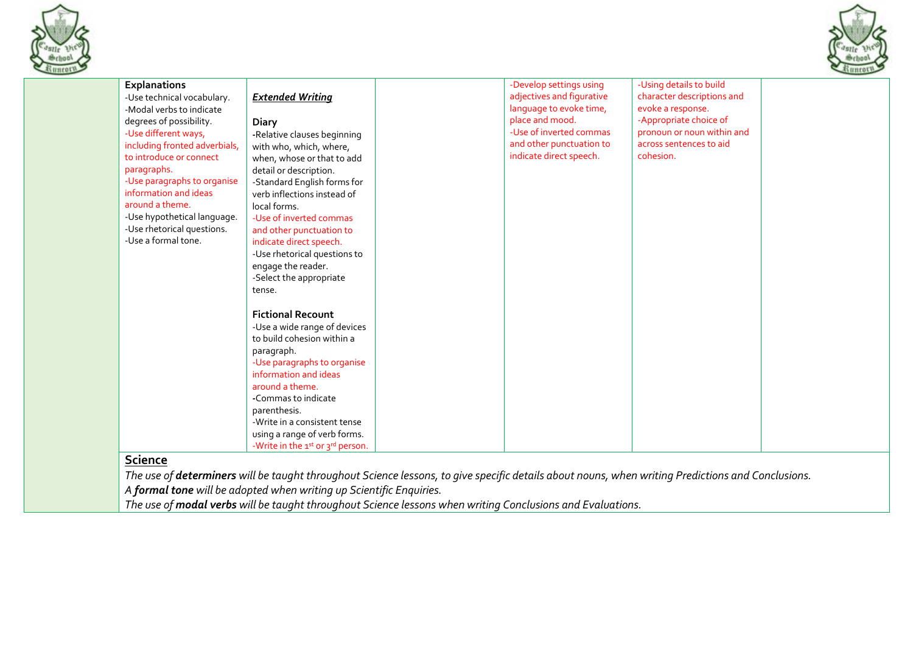



| <b>Explanations</b>           |                                  | -Develop settings using   | -Using details to build    |  |
|-------------------------------|----------------------------------|---------------------------|----------------------------|--|
| -Use technical vocabulary.    | <b>Extended Writing</b>          | adjectives and figurative | character descriptions and |  |
| -Modal verbs to indicate      |                                  | language to evoke time,   | evoke a response.          |  |
| degrees of possibility.       | <b>Diary</b>                     | place and mood.           | -Appropriate choice of     |  |
| -Use different ways,          | -Relative clauses beginning      | -Use of inverted commas   | pronoun or noun within and |  |
| including fronted adverbials, | with who, which, where,          | and other punctuation to  | across sentences to aid    |  |
| to introduce or connect       | when, whose or that to add       | indicate direct speech.   | cohesion.                  |  |
| paragraphs.                   | detail or description.           |                           |                            |  |
| -Use paragraphs to organise   | -Standard English forms for      |                           |                            |  |
| information and ideas         | verb inflections instead of      |                           |                            |  |
| around a theme.               | local forms.                     |                           |                            |  |
| -Use hypothetical language.   | -Use of inverted commas          |                           |                            |  |
| -Use rhetorical questions.    | and other punctuation to         |                           |                            |  |
| -Use a formal tone.           | indicate direct speech.          |                           |                            |  |
|                               | -Use rhetorical questions to     |                           |                            |  |
|                               | engage the reader.               |                           |                            |  |
|                               | -Select the appropriate          |                           |                            |  |
|                               | tense.                           |                           |                            |  |
|                               |                                  |                           |                            |  |
|                               | <b>Fictional Recount</b>         |                           |                            |  |
|                               | -Use a wide range of devices     |                           |                            |  |
|                               | to build cohesion within a       |                           |                            |  |
|                               | paragraph.                       |                           |                            |  |
|                               | -Use paragraphs to organise      |                           |                            |  |
|                               | information and ideas            |                           |                            |  |
|                               | around a theme.                  |                           |                            |  |
|                               | -Commas to indicate              |                           |                            |  |
|                               | parenthesis.                     |                           |                            |  |
|                               | -Write in a consistent tense     |                           |                            |  |
|                               | using a range of verb forms.     |                           |                            |  |
|                               | -Write in the 1st or 3rd person. |                           |                            |  |

*A formal tone will be adopted when writing up Scientific Enquiries.* 

*The use of modal verbs will be taught throughout Science lessons when writing Conclusions and Evaluations.*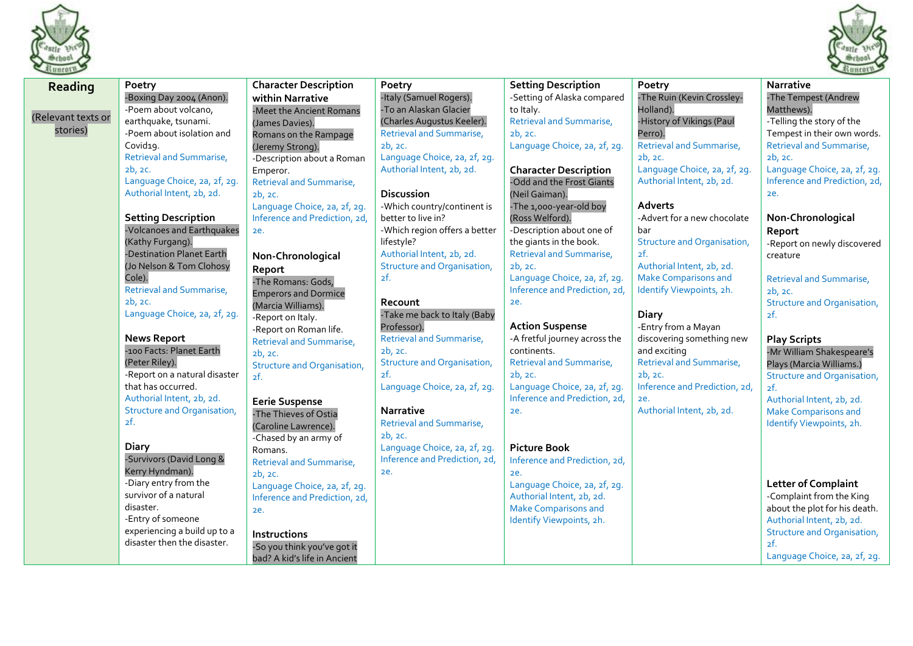



| 1111111111         |                                                 |                                            |                                           |                                            |                                     | 21111101                           |
|--------------------|-------------------------------------------------|--------------------------------------------|-------------------------------------------|--------------------------------------------|-------------------------------------|------------------------------------|
| Reading            | Poetry                                          | <b>Character Description</b>               | Poetry                                    | <b>Setting Description</b>                 | Poetry                              | Narrative                          |
|                    | -Boxing Day 2004 (Anon).                        | within Narrative                           | -Italy (Samuel Rogers).                   | -Setting of Alaska compared                | -The Ruin (Kevin Crossley-          | -The Tempest (Andrew               |
| (Relevant texts or | -Poem about volcano,                            | -Meet the Ancient Romans                   | -To an Alaskan Glacier                    | to Italy.                                  | Holland).                           | Matthews).                         |
|                    | earthquake, tsunami.                            | (James Davies).                            | (Charles Augustus Keeler).                | Retrieval and Summarise,                   | -History of Vikings (Paul           | -Telling the story of the          |
| stories)           | -Poem about isolation and                       | Romans on the Rampage                      | Retrieval and Summarise,                  | 2b, 2c.                                    | Perro).                             | Tempest in their own words.        |
|                    | Covid19.                                        | (Jeremy Strong).                           | 2b, 2c.                                   | Language Choice, 2a, 2f, 2g.               | <b>Retrieval and Summarise,</b>     | <b>Retrieval and Summarise,</b>    |
|                    | Retrieval and Summarise,                        | -Description about a Roman                 | Language Choice, 2a, 2f, 2g.              |                                            | 2b, 2c.                             | 2b, 2c.                            |
|                    | 2b, 2c.                                         | Emperor.                                   | Authorial Intent, 2b, 2d.                 | <b>Character Description</b>               | Language Choice, 2a, 2f, 2g.        | Language Choice, 2a, 2f, 2g.       |
|                    | Language Choice, 2a, 2f, 2g.                    | <b>Retrieval and Summarise,</b>            |                                           | -Odd and the Frost Giants                  | Authorial Intent, 2b, 2d.           | Inference and Prediction, 2d,      |
|                    | Authorial Intent, 2b, 2d.                       | 2b, 2c.                                    | <b>Discussion</b>                         | (Neil Gaiman).                             |                                     | ze.                                |
|                    |                                                 | Language Choice, 2a, 2f, 2g.               | -Which country/continent is               | -The 1,000-year-old boy                    | <b>Adverts</b>                      |                                    |
|                    | <b>Setting Description</b>                      | Inference and Prediction, 2d,              | better to live in?                        | (Ross Welford).                            | -Advert for a new chocolate         | Non-Chronological                  |
|                    | -Volcanoes and Earthquakes                      | ze.                                        | -Which region offers a better             | -Description about one of                  | bar                                 | Report                             |
|                    | (Kathy Furgang).                                |                                            | lifestyle?                                | the giants in the book.                    | <b>Structure and Organisation,</b>  | -Report on newly discovered        |
|                    | -Destination Planet Earth                       | Non-Chronological                          | Authorial Intent, 2b, 2d.                 | Retrieval and Summarise,                   | 2f.                                 | creature                           |
|                    | (Jo Nelson & Tom Clohosy                        | Report                                     | <b>Structure and Organisation,</b>        | 2b, 2c.                                    | Authorial Intent, 2b, 2d.           |                                    |
|                    | Cole).                                          | -The Romans: Gods,                         | 2f.                                       | Language Choice, 2a, 2f, 2g.               | Make Comparisons and                | <b>Retrieval and Summarise,</b>    |
|                    | Retrieval and Summarise,                        | <b>Emperors and Dormice</b>                |                                           | Inference and Prediction, 2d,              | Identify Viewpoints, 2h.            | 2b, 2c.                            |
|                    | 2b, 2c.                                         | (Marcia Williams).                         | Recount                                   | 2e.                                        |                                     | Structure and Organisation,        |
|                    | Language Choice, 2a, 2f, 2g.                    | -Report on Italy.                          | -Take me back to Italy (Baby              |                                            | <b>Diary</b>                        | 2f.                                |
|                    |                                                 | -Report on Roman life.                     | Professor).                               | <b>Action Suspense</b>                     | -Entry from a Mayan                 |                                    |
|                    | <b>News Report</b>                              | Retrieval and Summarise,                   | <b>Retrieval and Summarise,</b>           | -A fretful journey across the              | discovering something new           | <b>Play Scripts</b>                |
|                    | -100 Facts: Planet Earth                        | 2b, 2c.                                    | 2b, 2c.                                   | continents.                                | and exciting                        | -Mr William Shakespeare's          |
|                    | (Peter Riley).<br>-Report on a natural disaster | <b>Structure and Organisation,</b>         | <b>Structure and Organisation,</b><br>2f. | <b>Retrieval and Summarise,</b><br>2b, 2c. | Retrieval and Summarise,<br>2b, 2c. | Plays (Marcia Williams.)           |
|                    | that has occurred.                              | 2f.                                        | Language Choice, 2a, 2f, 2g.              | Language Choice, 2a, 2f, 2g.               | Inference and Prediction, 2d,       | Structure and Organisation,<br>2f. |
|                    | Authorial Intent, 2b, 2d.                       |                                            |                                           | Inference and Prediction, 2d,              | ze.                                 | Authorial Intent, 2b, 2d.          |
|                    | Structure and Organisation,                     | <b>Eerie Suspense</b>                      | <b>Narrative</b>                          | ze.                                        | Authorial Intent, 2b, 2d.           | <b>Make Comparisons and</b>        |
|                    | 2f.                                             | -The Thieves of Ostia                      | <b>Retrieval and Summarise,</b>           |                                            |                                     | Identify Viewpoints, 2h.           |
|                    |                                                 | (Caroline Lawrence).                       | 2b, 2c.                                   |                                            |                                     |                                    |
|                    | <b>Diary</b>                                    | -Chased by an army of                      | Language Choice, 2a, 2f, 2g.              | <b>Picture Book</b>                        |                                     |                                    |
|                    | -Survivors (David Long &                        | Romans.<br><b>Retrieval and Summarise,</b> | Inference and Prediction, 2d,             | Inference and Prediction, 2d,              |                                     |                                    |
|                    | Kerry Hyndman).                                 | 2b, 2c.                                    | ze.                                       | <b>2e.</b>                                 |                                     |                                    |
|                    | -Diary entry from the                           | Language Choice, 2a, 2f, 2g.               |                                           | Language Choice, 2a, 2f, 2g.               |                                     | <b>Letter of Complaint</b>         |
|                    | survivor of a natural                           | Inference and Prediction, 2d,              |                                           | Authorial Intent, 2b, 2d.                  |                                     | -Complaint from the King           |
|                    | disaster.                                       | ze.                                        |                                           | <b>Make Comparisons and</b>                |                                     | about the plot for his death.      |
|                    | -Entry of someone                               |                                            |                                           | Identify Viewpoints, 2h.                   |                                     | Authorial Intent, 2b, 2d.          |
|                    | experiencing a build up to a                    | Instructions                               |                                           |                                            |                                     | <b>Structure and Organisation,</b> |
|                    | disaster then the disaster.                     | -So you think you've got it                |                                           |                                            |                                     | 2f.                                |
|                    |                                                 | bad? A kid's life in Ancient               |                                           |                                            |                                     | Language Choice, 2a, 2f, 2g.       |
|                    |                                                 |                                            |                                           |                                            |                                     |                                    |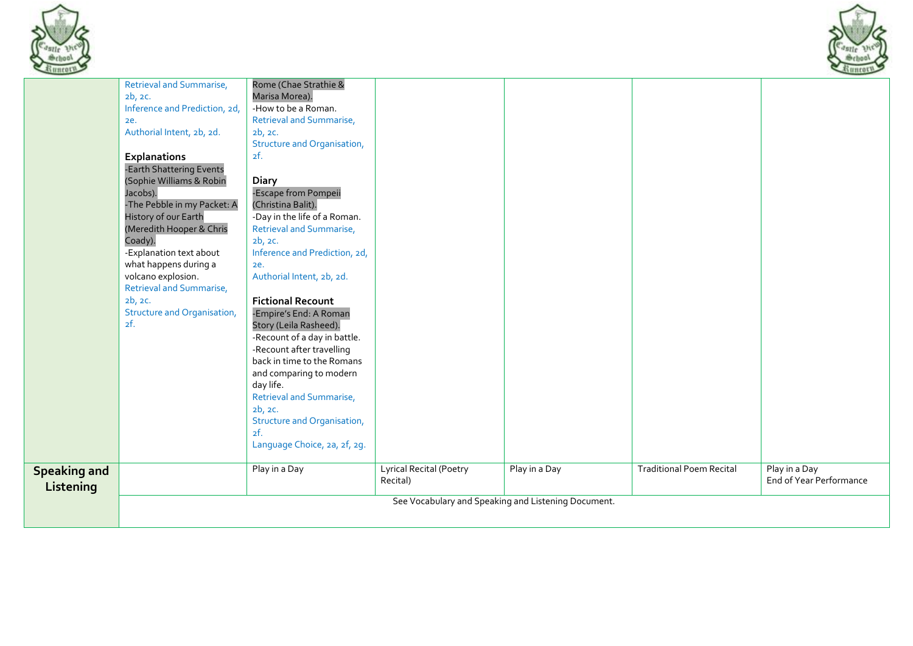



|                                  | Retrieval and Summarise,<br>2b, 2c.<br>Inference and Prediction, 2d,<br>ze.<br>Authorial Intent, 2b, 2d.<br>Explanations<br>-Earth Shattering Events<br>(Sophie Williams & Robin<br>Jacobs).<br>-The Pebble in my Packet: A<br>History of our Earth<br>(Meredith Hooper & Chris<br>Coady).<br>-Explanation text about<br>what happens during a<br>volcano explosion.<br><b>Retrieval and Summarise,</b><br>2b, 2c.<br>Structure and Organisation,<br>2f. | Rome (Chae Strathie &<br>Marisa Morea).<br>-How to be a Roman.<br>Retrieval and Summarise,<br>2b, 2c.<br><b>Structure and Organisation,</b><br>2f.<br><b>Diary</b><br>-Escape from Pompeii<br>(Christina Balit).<br>-Day in the life of a Roman.<br>Retrieval and Summarise,<br>2b, 2c.<br>Inference and Prediction, 2d,<br>2e.<br>Authorial Intent, 2b, 2d.<br><b>Fictional Recount</b><br>-Empire's End: A Roman<br>Story (Leila Rasheed).<br>-Recount of a day in battle.<br>-Recount after travelling<br>back in time to the Romans<br>and comparing to modern<br>day life.<br><b>Retrieval and Summarise,</b><br>2b, 2c.<br><b>Structure and Organisation,</b><br>2f.<br>Language Choice, 2a, 2f, 2g. |                                            |               |                                 |                                          |
|----------------------------------|----------------------------------------------------------------------------------------------------------------------------------------------------------------------------------------------------------------------------------------------------------------------------------------------------------------------------------------------------------------------------------------------------------------------------------------------------------|------------------------------------------------------------------------------------------------------------------------------------------------------------------------------------------------------------------------------------------------------------------------------------------------------------------------------------------------------------------------------------------------------------------------------------------------------------------------------------------------------------------------------------------------------------------------------------------------------------------------------------------------------------------------------------------------------------|--------------------------------------------|---------------|---------------------------------|------------------------------------------|
| <b>Speaking and</b><br>Listening |                                                                                                                                                                                                                                                                                                                                                                                                                                                          | Play in a Day                                                                                                                                                                                                                                                                                                                                                                                                                                                                                                                                                                                                                                                                                              | <b>Lyrical Recital (Poetry</b><br>Recital) | Play in a Day | <b>Traditional Poem Recital</b> | Play in a Day<br>End of Year Performance |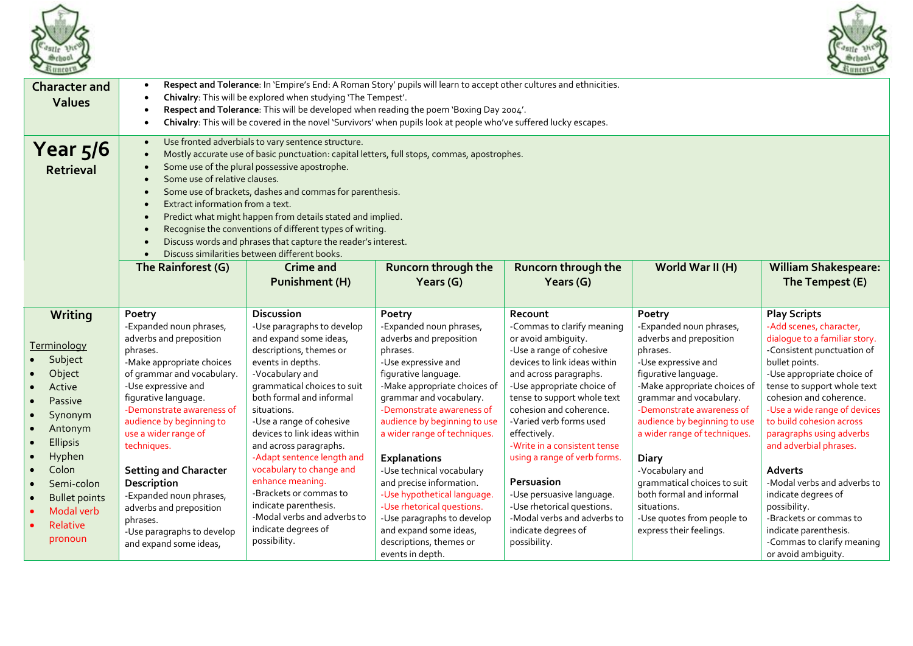



| <b>Character and</b><br><b>Values</b>                                                                    | Respect and Tolerance: In 'Empire's End: A Roman Story' pupils will learn to accept other cultures and ethnicities.<br>$\bullet$<br>Chivalry: This will be explored when studying 'The Tempest'.<br>$\bullet$<br>Respect and Tolerance: This will be developed when reading the poem 'Boxing Day 2004'.<br>$\bullet$<br>Chivalry: This will be covered in the novel 'Survivors' when pupils look at people who've suffered lucky escapes.<br>$\bullet$                                                                                                                                                                                                                                                                                                                                      |                                                                                                                                                                                                                                                                                                                       |                                                                                                                                                                                                                                                                                              |                                                                                                                                                                                                                                                                                                                                            |                                                                                                                                                                                                                                                                                       |                                                                                                                                                                                                                                                                                                                    |  |
|----------------------------------------------------------------------------------------------------------|---------------------------------------------------------------------------------------------------------------------------------------------------------------------------------------------------------------------------------------------------------------------------------------------------------------------------------------------------------------------------------------------------------------------------------------------------------------------------------------------------------------------------------------------------------------------------------------------------------------------------------------------------------------------------------------------------------------------------------------------------------------------------------------------|-----------------------------------------------------------------------------------------------------------------------------------------------------------------------------------------------------------------------------------------------------------------------------------------------------------------------|----------------------------------------------------------------------------------------------------------------------------------------------------------------------------------------------------------------------------------------------------------------------------------------------|--------------------------------------------------------------------------------------------------------------------------------------------------------------------------------------------------------------------------------------------------------------------------------------------------------------------------------------------|---------------------------------------------------------------------------------------------------------------------------------------------------------------------------------------------------------------------------------------------------------------------------------------|--------------------------------------------------------------------------------------------------------------------------------------------------------------------------------------------------------------------------------------------------------------------------------------------------------------------|--|
| Year $5/6$<br><b>Retrieval</b>                                                                           | Use fronted adverbials to vary sentence structure.<br>$\bullet$<br>Mostly accurate use of basic punctuation: capital letters, full stops, commas, apostrophes.<br>Some use of the plural possessive apostrophe.<br>Some use of relative clauses.<br>$\bullet$<br>Some use of brackets, dashes and commas for parenthesis.<br>Extract information from a text.<br>$\bullet$<br>Predict what might happen from details stated and implied.<br>$\bullet$<br>Recognise the conventions of different types of writing.<br>$\bullet$<br>Discuss words and phrases that capture the reader's interest.<br>Discuss similarities between different books.<br>The Rainforest (G)<br>Runcorn through the<br>Runcorn through the<br>World War II (H)<br><b>William Shakespeare:</b><br><b>Crime and</b> |                                                                                                                                                                                                                                                                                                                       |                                                                                                                                                                                                                                                                                              |                                                                                                                                                                                                                                                                                                                                            |                                                                                                                                                                                                                                                                                       |                                                                                                                                                                                                                                                                                                                    |  |
|                                                                                                          |                                                                                                                                                                                                                                                                                                                                                                                                                                                                                                                                                                                                                                                                                                                                                                                             | <b>Punishment (H)</b>                                                                                                                                                                                                                                                                                                 | Years $(G)$                                                                                                                                                                                                                                                                                  | Years $(G)$                                                                                                                                                                                                                                                                                                                                |                                                                                                                                                                                                                                                                                       | The Tempest (E)                                                                                                                                                                                                                                                                                                    |  |
| Writing                                                                                                  | Poetry                                                                                                                                                                                                                                                                                                                                                                                                                                                                                                                                                                                                                                                                                                                                                                                      | <b>Discussion</b>                                                                                                                                                                                                                                                                                                     | Poetry                                                                                                                                                                                                                                                                                       | Recount                                                                                                                                                                                                                                                                                                                                    | Poetry                                                                                                                                                                                                                                                                                | <b>Play Scripts</b>                                                                                                                                                                                                                                                                                                |  |
| Terminology<br>Subject<br>Object<br>Active<br>Passive<br>Synonym<br>Antonym<br><b>Ellipsis</b><br>Hyphen | -Expanded noun phrases,<br>adverbs and preposition<br>phrases.<br>-Make appropriate choices<br>of grammar and vocabulary.<br>-Use expressive and<br>figurative language.<br>-Demonstrate awareness of<br>audience by beginning to<br>use a wider range of<br>techniques.                                                                                                                                                                                                                                                                                                                                                                                                                                                                                                                    | -Use paragraphs to develop<br>and expand some ideas,<br>descriptions, themes or<br>events in depths.<br>-Vocabulary and<br>grammatical choices to suit<br>both formal and informal<br>situations.<br>-Use a range of cohesive<br>devices to link ideas within<br>and across paragraphs.<br>-Adapt sentence length and | -Expanded noun phrases,<br>adverbs and preposition<br>phrases.<br>-Use expressive and<br>figurative language.<br>-Make appropriate choices of<br>grammar and vocabulary.<br>-Demonstrate awareness of<br>audience by beginning to use<br>a wider range of techniques.<br><b>Explanations</b> | -Commas to clarify meaning<br>or avoid ambiguity.<br>-Use a range of cohesive<br>devices to link ideas within<br>and across paragraphs.<br>-Use appropriate choice of<br>tense to support whole text<br>cohesion and coherence.<br>-Varied verb forms used<br>effectively.<br>-Write in a consistent tense<br>using a range of verb forms. | -Expanded noun phrases,<br>adverbs and preposition<br>phrases.<br>-Use expressive and<br>figurative language.<br>-Make appropriate choices of<br>grammar and vocabulary.<br>-Demonstrate awareness of<br>audience by beginning to use<br>a wider range of techniques.<br><b>Diary</b> | -Add scenes, character,<br>dialogue to a familiar story.<br>-Consistent punctuation of<br>bullet points.<br>-Use appropriate choice of<br>tense to support whole text<br>cohesion and coherence.<br>-Use a wide range of devices<br>to build cohesion across<br>paragraphs using adverbs<br>and adverbial phrases. |  |
| Colon                                                                                                    | <b>Setting and Character</b>                                                                                                                                                                                                                                                                                                                                                                                                                                                                                                                                                                                                                                                                                                                                                                | vocabulary to change and                                                                                                                                                                                                                                                                                              | -Use technical vocabulary                                                                                                                                                                                                                                                                    |                                                                                                                                                                                                                                                                                                                                            | -Vocabulary and                                                                                                                                                                                                                                                                       | <b>Adverts</b>                                                                                                                                                                                                                                                                                                     |  |
| Semi-colon<br><b>Bullet points</b><br>Modal verb<br>Relative<br>pronoun                                  | Description<br>-Expanded noun phrases,<br>adverbs and preposition<br>phrases.<br>-Use paragraphs to develop<br>and expand some ideas,                                                                                                                                                                                                                                                                                                                                                                                                                                                                                                                                                                                                                                                       | enhance meaning.<br>-Brackets or commas to<br>indicate parenthesis.<br>-Modal verbs and adverbs to<br>indicate degrees of<br>possibility.                                                                                                                                                                             | and precise information.<br>-Use hypothetical language.<br>-Use rhetorical questions.<br>-Use paragraphs to develop<br>and expand some ideas,<br>descriptions, themes or<br>events in depth.                                                                                                 | Persuasion<br>-Use persuasive language.<br>-Use rhetorical questions.<br>-Modal verbs and adverbs to<br>indicate degrees of<br>possibility.                                                                                                                                                                                                | grammatical choices to suit<br>both formal and informal<br>situations.<br>-Use quotes from people to<br>express their feelings.                                                                                                                                                       | -Modal verbs and adverbs to<br>indicate degrees of<br>possibility.<br>-Brackets or commas to<br>indicate parenthesis.<br>-Commas to clarify meaning<br>or avoid ambiquity.                                                                                                                                         |  |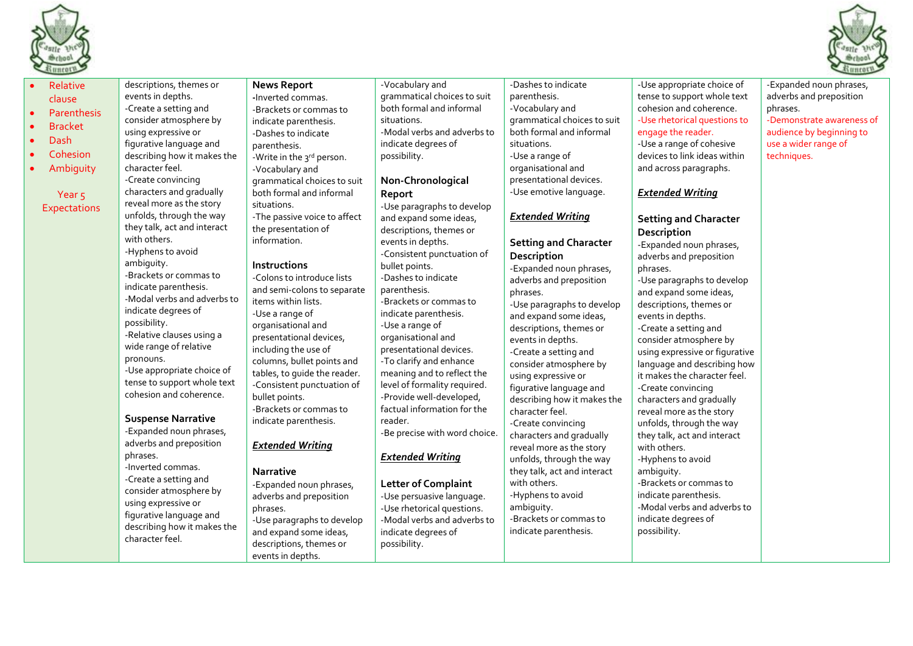

 $\bullet$  Ar



| -Use appropriate choice of<br>descriptions, themes or<br>-Vocabulary and<br>-Dashes to indicate<br><b>News Report</b><br>Relative<br>tense to support whole text<br>events in depths.<br>grammatical choices to suit<br>parenthesis.<br>-Inverted commas.<br>clause<br>both formal and informal<br>cohesion and coherence.<br>-Create a setting and<br>-Vocabulary and<br>-Brackets or commas to<br>Parenthesis<br>consider atmosphere by<br>grammatical choices to suit<br>-Use rhetorical questions to<br>situations.<br>indicate parenthesis.<br><b>Bracket</b><br>both formal and informal<br>using expressive or<br>-Modal verbs and adverbs to<br>engage the reader.<br>-Dashes to indicate<br>Dash<br>figurative language and<br>-Use a range of cohesive<br>indicate degrees of<br>situations.<br>parenthesis.<br>Cohesion<br>devices to link ideas within<br>describing how it makes the<br>possibility.<br>-Use a range of<br>-Write in the 3rd person.<br>character feel.<br>organisational and<br>Ambiguity<br>and across paragraphs.<br>-Vocabulary and<br>presentational devices.<br>-Create convincing<br>Non-Chronological<br>grammatical choices to suit<br>characters and gradually<br>-Use emotive language.<br>both formal and informal<br><b>Extended Writing</b><br>Report<br>Year <sub>5</sub><br>reveal more as the story<br>situations.<br>-Use paragraphs to develop<br><b>Expectations</b><br>unfolds, through the way<br>-The passive voice to affect<br><b>Extended Writing</b><br>and expand some ideas,<br><b>Setting and Character</b><br>they talk, act and interact<br>the presentation of<br>descriptions, themes or<br>Description<br>with others.<br>information.<br>events in depths.<br><b>Setting and Character</b><br>-Expanded noun phrases,<br>-Hyphens to avoid<br>-Consistent punctuation of<br>Description<br>adverbs and preposition<br>ambiguity.<br>Instructions<br>bullet points.<br>-Expanded noun phrases,<br>phrases.<br>-Brackets or commas to<br>-Dashes to indicate<br>-Colons to introduce lists<br>adverbs and preposition<br>-Use paragraphs to develop<br>indicate parenthesis.<br>and semi-colons to separate<br>parenthesis.<br>phrases.<br>and expand some ideas,<br>-Modal verbs and adverbs to<br>items within lists.<br>-Brackets or commas to<br>-Use paragraphs to develop<br>descriptions, themes or<br>indicate degrees of<br>-Use a range of<br>indicate parenthesis.<br>and expand some ideas,<br>events in depths.<br>possibility.<br>organisational and<br>-Use a range of<br>descriptions, themes or<br>-Create a setting and<br>-Relative clauses using a<br>presentational devices,<br>organisational and<br>consider atmosphere by<br>events in depths.<br>wide range of relative<br>including the use of<br>presentational devices.<br>-Create a setting and<br>using expressive or figurative<br>pronouns.<br>columns, bullet points and<br>-To clarify and enhance<br>consider atmosphere by<br>language and describing how<br>-Use appropriate choice of<br>tables, to quide the reader.<br>meaning and to reflect the<br>using expressive or<br>it makes the character feel.<br>tense to support whole text<br>-Consistent punctuation of<br>level of formality required.<br>figurative language and<br>-Create convincing<br>cohesion and coherence.<br>-Provide well-developed,<br>bullet points.<br>describing how it makes the<br>characters and gradually<br>-Brackets or commas to<br>factual information for the<br>character feel.<br>reveal more as the story<br><b>Suspense Narrative</b><br>indicate parenthesis.<br>reader.<br>unfolds, through the way<br>-Create convincing<br>-Expanded noun phrases,<br>-Be precise with word choice.<br>characters and gradually<br>they talk, act and interact<br>adverbs and preposition<br><b>Extended Writing</b><br>reveal more as the story<br>with others.<br>phrases.<br><b>Extended Writing</b><br>unfolds, through the way<br>-Hyphens to avoid<br>-Inverted commas.<br><b>Narrative</b><br>they talk, act and interact<br>ambiguity.<br>-Create a setting and<br>with others.<br>-Brackets or commas to<br>-Expanded noun phrases,<br><b>Letter of Complaint</b><br>consider atmosphere by<br>indicate parenthesis.<br>-Hyphens to avoid<br>adverbs and preposition<br>-Use persuasive language.<br>using expressive or<br>-Modal verbs and adverbs to<br>ambiguity.<br>-Use rhetorical questions.<br>phrases.<br>figurative language and<br>-Brackets or commas to<br>indicate degrees of<br>-Modal verbs and adverbs to<br>-Use paragraphs to develop<br>describing how it makes the<br>indicate parenthesis.<br>possibility.<br>and expand some ideas,<br>indicate degrees of<br>character feel.<br>descriptions, themes or<br>possibility. |
|-----------------------------------------------------------------------------------------------------------------------------------------------------------------------------------------------------------------------------------------------------------------------------------------------------------------------------------------------------------------------------------------------------------------------------------------------------------------------------------------------------------------------------------------------------------------------------------------------------------------------------------------------------------------------------------------------------------------------------------------------------------------------------------------------------------------------------------------------------------------------------------------------------------------------------------------------------------------------------------------------------------------------------------------------------------------------------------------------------------------------------------------------------------------------------------------------------------------------------------------------------------------------------------------------------------------------------------------------------------------------------------------------------------------------------------------------------------------------------------------------------------------------------------------------------------------------------------------------------------------------------------------------------------------------------------------------------------------------------------------------------------------------------------------------------------------------------------------------------------------------------------------------------------------------------------------------------------------------------------------------------------------------------------------------------------------------------------------------------------------------------------------------------------------------------------------------------------------------------------------------------------------------------------------------------------------------------------------------------------------------------------------------------------------------------------------------------------------------------------------------------------------------------------------------------------------------------------------------------------------------------------------------------------------------------------------------------------------------------------------------------------------------------------------------------------------------------------------------------------------------------------------------------------------------------------------------------------------------------------------------------------------------------------------------------------------------------------------------------------------------------------------------------------------------------------------------------------------------------------------------------------------------------------------------------------------------------------------------------------------------------------------------------------------------------------------------------------------------------------------------------------------------------------------------------------------------------------------------------------------------------------------------------------------------------------------------------------------------------------------------------------------------------------------------------------------------------------------------------------------------------------------------------------------------------------------------------------------------------------------------------------------------------------------------------------------------------------------------------------------------------------------------------------------------------------------------------------------------------------------------------------------------------------------------------------------------------------------------------------------------------------------------------------------------------------------------------------------------------------------------------------------------------------------------------------------------------------------------------------------------------------------------------------------------------------------------------------------------------------------------------------------------------------------------|
| events in depths.                                                                                                                                                                                                                                                                                                                                                                                                                                                                                                                                                                                                                                                                                                                                                                                                                                                                                                                                                                                                                                                                                                                                                                                                                                                                                                                                                                                                                                                                                                                                                                                                                                                                                                                                                                                                                                                                                                                                                                                                                                                                                                                                                                                                                                                                                                                                                                                                                                                                                                                                                                                                                                                                                                                                                                                                                                                                                                                                                                                                                                                                                                                                                                                                                                                                                                                                                                                                                                                                                                                                                                                                                                                                                                                                                                                                                                                                                                                                                                                                                                                                                                                                                                                                                                                                                                                                                                                                                                                                                                                                                                                                                                                                                                                                                                             |

-Expanded noun phrases, adverbs and preposition phrases. -Demonstrate awareness of audience by beginning to use a wider range of techniques.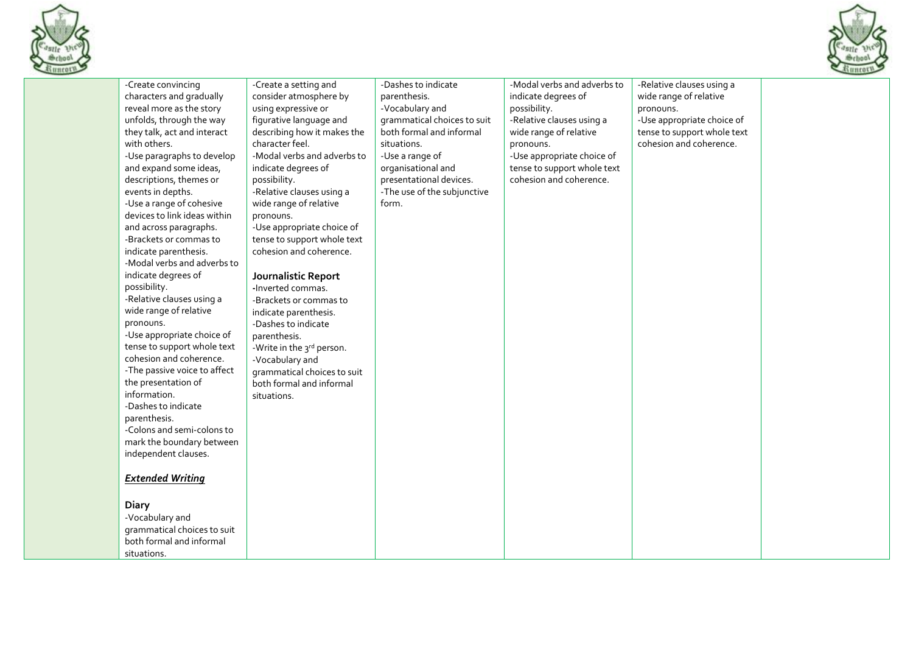



|                                                                                                                                                                                                                                                                                                                                                                                                                                                                                                                                                                                                                                                                                                                                                                                                                                                                                                                                                                                   |                                                                                                                                                                                                                                                                                                                                                                                                                                                                                                                                                                                                                                                       |                                                                                                                                                                                                                                              |                                                                                                                                                                                                                                |                                                                                                                                                          | $\sim$ |
|-----------------------------------------------------------------------------------------------------------------------------------------------------------------------------------------------------------------------------------------------------------------------------------------------------------------------------------------------------------------------------------------------------------------------------------------------------------------------------------------------------------------------------------------------------------------------------------------------------------------------------------------------------------------------------------------------------------------------------------------------------------------------------------------------------------------------------------------------------------------------------------------------------------------------------------------------------------------------------------|-------------------------------------------------------------------------------------------------------------------------------------------------------------------------------------------------------------------------------------------------------------------------------------------------------------------------------------------------------------------------------------------------------------------------------------------------------------------------------------------------------------------------------------------------------------------------------------------------------------------------------------------------------|----------------------------------------------------------------------------------------------------------------------------------------------------------------------------------------------------------------------------------------------|--------------------------------------------------------------------------------------------------------------------------------------------------------------------------------------------------------------------------------|----------------------------------------------------------------------------------------------------------------------------------------------------------|--------|
| -Create convincing<br>characters and gradually<br>reveal more as the story<br>unfolds, through the way<br>they talk, act and interact<br>with others.<br>-Use paragraphs to develop<br>and expand some ideas,<br>descriptions, themes or<br>events in depths.<br>-Use a range of cohesive<br>devices to link ideas within<br>and across paragraphs.<br>-Brackets or commas to<br>indicate parenthesis.<br>-Modal verbs and adverbs to<br>indicate degrees of<br>possibility.<br>-Relative clauses using a<br>wide range of relative<br>pronouns.<br>-Use appropriate choice of<br>tense to support whole text<br>cohesion and coherence.<br>-The passive voice to affect<br>the presentation of<br>information.<br>-Dashes to indicate<br>parenthesis.<br>-Colons and semi-colons to<br>mark the boundary between<br>independent clauses.<br><b>Extended Writing</b><br><b>Diary</b><br>-Vocabulary and<br>grammatical choices to suit<br>both formal and informal<br>situations. | -Create a setting and<br>consider atmosphere by<br>using expressive or<br>figurative language and<br>describing how it makes the<br>character feel.<br>-Modal verbs and adverbs to<br>indicate degrees of<br>possibility.<br>-Relative clauses using a<br>wide range of relative<br>pronouns.<br>-Use appropriate choice of<br>tense to support whole text<br>cohesion and coherence.<br>Journalistic Report<br>-Inverted commas.<br>-Brackets or commas to<br>indicate parenthesis.<br>-Dashes to indicate<br>parenthesis.<br>-Write in the 3rd person.<br>-Vocabulary and<br>grammatical choices to suit<br>both formal and informal<br>situations. | -Dashes to indicate<br>parenthesis.<br>-Vocabulary and<br>grammatical choices to suit<br>both formal and informal<br>situations.<br>-Use a range of<br>organisational and<br>presentational devices.<br>-The use of the subjunctive<br>form. | -Modal verbs and adverbs to<br>indicate degrees of<br>possibility.<br>-Relative clauses using a<br>wide range of relative<br>pronouns.<br>-Use appropriate choice of<br>tense to support whole text<br>cohesion and coherence. | -Relative clauses using a<br>wide range of relative<br>pronouns.<br>-Use appropriate choice of<br>tense to support whole text<br>cohesion and coherence. |        |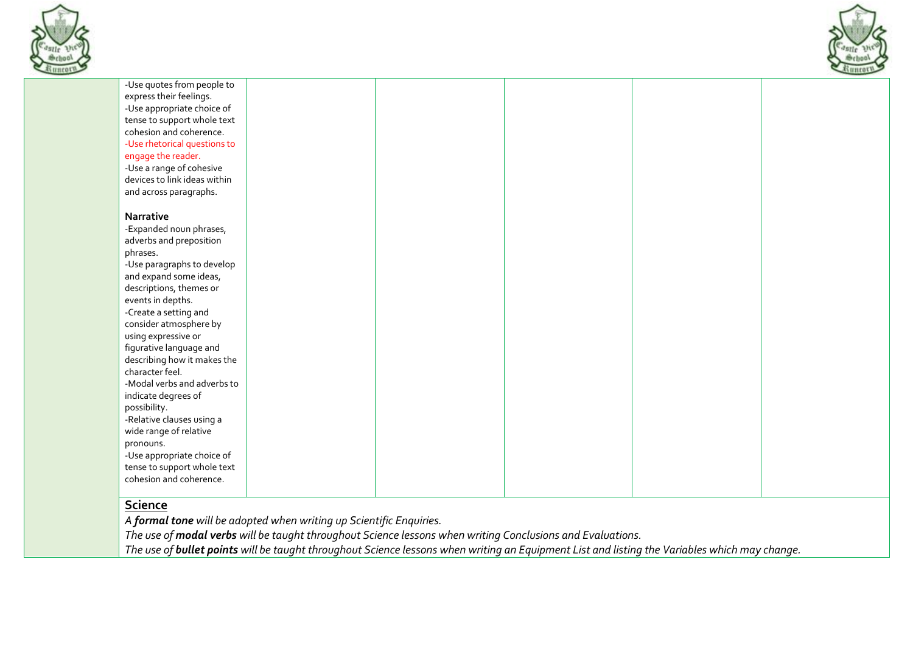



# **Science**

*A formal tone will be adopted when writing up Scientific Enquiries.* 

*The use of modal verbs will be taught throughout Science lessons when writing Conclusions and Evaluations.* 

*The use of bullet points will be taught throughout Science lessons when writing an Equipment List and listing the Variables which may change.*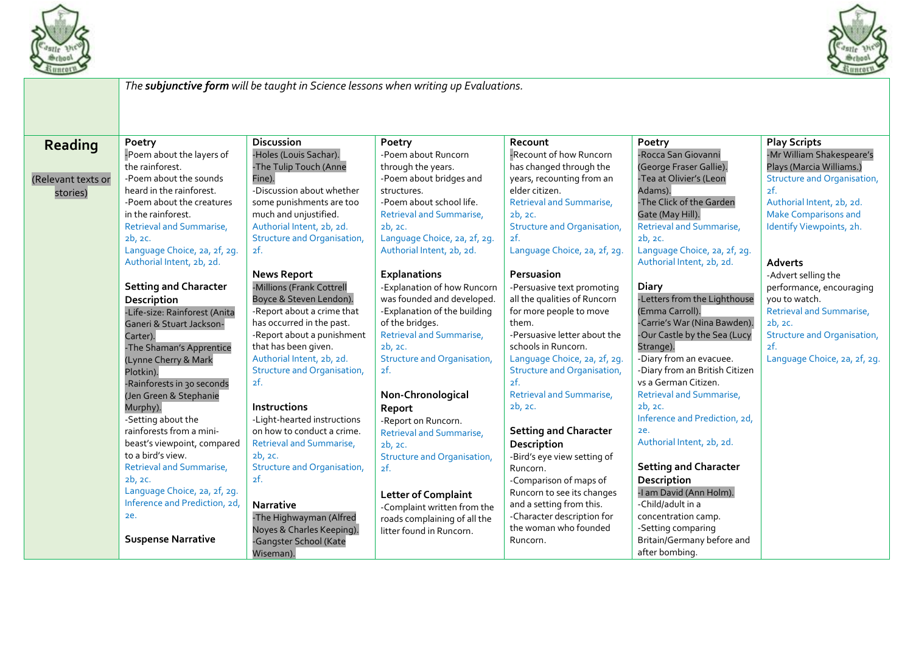



|                                           | The subjunctive form will be taught in Science lessons when writing up Evaluations.                                                                                                                                                                                                                                                      |                                                                                                                                                                                                                                                                                                                                                           |                                                                                                                                                                                                                                                                                                           |                                                                                                                                                                                                                                                                                                                                |                                                                                                                                                                                                                                                                                                                                        |                                                                                                                                                                                                            |  |
|-------------------------------------------|------------------------------------------------------------------------------------------------------------------------------------------------------------------------------------------------------------------------------------------------------------------------------------------------------------------------------------------|-----------------------------------------------------------------------------------------------------------------------------------------------------------------------------------------------------------------------------------------------------------------------------------------------------------------------------------------------------------|-----------------------------------------------------------------------------------------------------------------------------------------------------------------------------------------------------------------------------------------------------------------------------------------------------------|--------------------------------------------------------------------------------------------------------------------------------------------------------------------------------------------------------------------------------------------------------------------------------------------------------------------------------|----------------------------------------------------------------------------------------------------------------------------------------------------------------------------------------------------------------------------------------------------------------------------------------------------------------------------------------|------------------------------------------------------------------------------------------------------------------------------------------------------------------------------------------------------------|--|
|                                           |                                                                                                                                                                                                                                                                                                                                          |                                                                                                                                                                                                                                                                                                                                                           |                                                                                                                                                                                                                                                                                                           |                                                                                                                                                                                                                                                                                                                                |                                                                                                                                                                                                                                                                                                                                        |                                                                                                                                                                                                            |  |
| Reading<br>(Relevant texts or<br>stories) | Poetry<br>-Poem about the layers of<br>the rainforest.<br>-Poem about the sounds<br>heard in the rainforest.<br>-Poem about the creatures<br>in the rainforest.<br>Retrieval and Summarise,<br>2b, 2c.<br>Language Choice, 2a, 2f, 2g.                                                                                                   | <b>Discussion</b><br>-Holes (Louis Sachar).<br>-The Tulip Touch (Anne<br>Fine).<br>-Discussion about whether<br>some punishments are too<br>much and unjustified.<br>Authorial Intent, 2b, 2d.<br><b>Structure and Organisation,</b><br>2f.                                                                                                               | Poetry<br>-Poem about Runcorn<br>through the years.<br>-Poem about bridges and<br>structures.<br>-Poem about school life.<br><b>Retrieval and Summarise,</b><br>2b, 2c.<br>Language Choice, 2a, 2f, 2g.<br>Authorial Intent, 2b, 2d.                                                                      | Recount<br>-Recount of how Runcorn<br>has changed through the<br>years, recounting from an<br>elder citizen.<br>Retrieval and Summarise,<br>2b, 2c.<br>Structure and Organisation,<br>2f.<br>Language Choice, 2a, 2f, 2g.                                                                                                      | Poetry<br>-Rocca San Giovanni<br>(George Fraser Gallie).<br>-Tea at Olivier's (Leon<br>Adams).<br>-The Click of the Garden<br>Gate (May Hill).<br>Retrieval and Summarise,<br>2b, 2c.<br>Language Choice, 2a, 2f, 2g.                                                                                                                  | <b>Play Scripts</b><br>-Mr William Shakespeare's<br>Plays (Marcia Williams.)<br>Structure and Organisation,<br>2f.<br>Authorial Intent, 2b, 2d.<br><b>Make Comparisons and</b><br>Identify Viewpoints, 2h. |  |
|                                           | Authorial Intent, 2b, 2d.<br><b>Setting and Character</b><br>Description<br>-Life-size: Rainforest (Anita<br>Ganeri & Stuart Jackson-<br>Carter).<br>-The Shaman's Apprentice<br>(Lynne Cherry & Mark<br>Plotkin).<br>-Rainforests in 30 seconds<br>(Jen Green & Stephanie<br>Murphy).<br>-Setting about the<br>rainforests from a mini- | <b>News Report</b><br>-Millions (Frank Cottrell<br>Boyce & Steven Lendon).<br>-Report about a crime that<br>has occurred in the past.<br>-Report about a punishment<br>that has been given.<br>Authorial Intent, 2b, 2d.<br><b>Structure and Organisation,</b><br>2f.<br><b>Instructions</b><br>-Light-hearted instructions<br>on how to conduct a crime. | <b>Explanations</b><br>-Explanation of how Runcorn<br>was founded and developed.<br>-Explanation of the building<br>of the bridges.<br>Retrieval and Summarise,<br>2b, 2c.<br>Structure and Organisation,<br>2f.<br>Non-Chronological<br>Report<br>-Report on Runcorn.<br><b>Retrieval and Summarise,</b> | Persuasion<br>-Persuasive text promoting<br>all the qualities of Runcorn<br>for more people to move<br>them.<br>-Persuasive letter about the<br>schools in Runcorn.<br>Language Choice, 2a, 2f, 2g.<br><b>Structure and Organisation,</b><br>2f.<br><b>Retrieval and Summarise,</b><br>2b, 2c.<br><b>Setting and Character</b> | Authorial Intent, 2b, 2d.<br>Diary<br>-Letters from the Lighthouse<br>(Emma Carroll).<br>-Carrie's War (Nina Bawden).<br>-Our Castle by the Sea (Lucy<br>Strange).<br>-Diary from an evacuee.<br>-Diary from an British Citizen<br>vs a German Citizen.<br>Retrieval and Summarise,<br>2b, 2c.<br>Inference and Prediction, 2d,<br>2e. | <b>Adverts</b><br>-Advert selling the<br>performance, encouraging<br>you to watch.<br>Retrieval and Summarise,<br>2b, 2c.<br>Structure and Organisation,<br>2f.<br>Language Choice, 2a, 2f, 2g.            |  |
|                                           | beast's viewpoint, compared<br>to a bird's view.<br>Retrieval and Summarise,<br>2b, 2c.<br>Language Choice, 2a, 2f, 2g.<br>Inference and Prediction, 2d,<br>2e.<br><b>Suspense Narrative</b>                                                                                                                                             | Retrieval and Summarise,<br>2b, 2c.<br><b>Structure and Organisation,</b><br>2f.<br><b>Narrative</b><br>-The Highwayman (Alfred<br>Noyes & Charles Keeping).<br>-Gangster School (Kate<br>Wiseman).                                                                                                                                                       | 2b, 2c.<br><b>Structure and Organisation,</b><br>2f.<br><b>Letter of Complaint</b><br>-Complaint written from the<br>roads complaining of all the<br>litter found in Runcorn.                                                                                                                             | <b>Description</b><br>-Bird's eye view setting of<br>Runcorn.<br>-Comparison of maps of<br>Runcorn to see its changes<br>and a setting from this.<br>-Character description for<br>the woman who founded<br>Runcorn.                                                                                                           | Authorial Intent, 2b, 2d.<br><b>Setting and Character</b><br>Description<br>-I am David (Ann Holm).<br>-Child/adult in a<br>concentration camp.<br>-Setting comparing<br>Britain/Germany before and<br>after bombing.                                                                                                                  |                                                                                                                                                                                                            |  |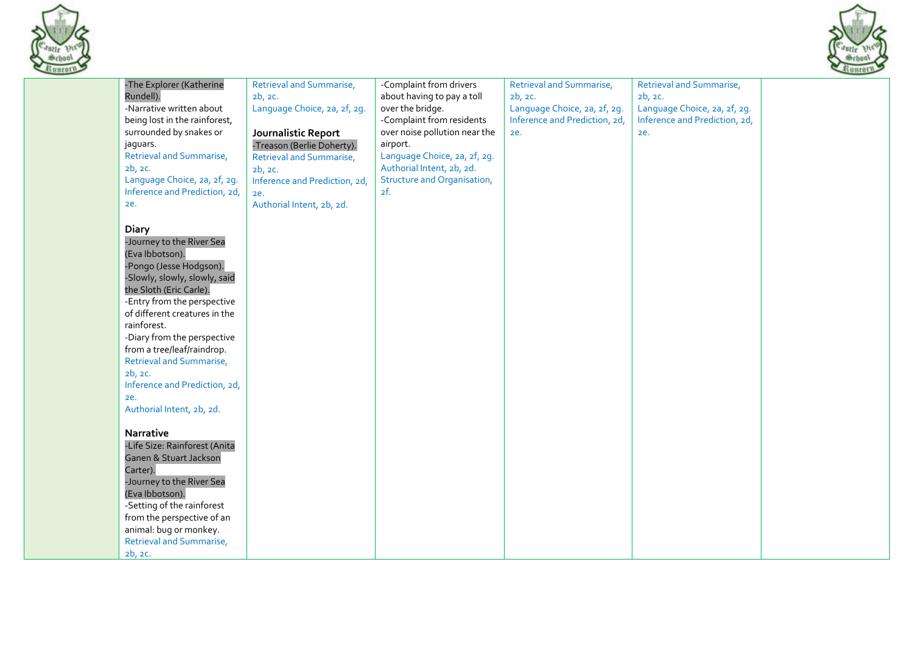



| -The Explorer (Katherine        | <b>Retrieval and Summarise,</b> | -Complaint from drivers            | <b>Retrieval and Summarise,</b> | Retrieval and Summarise,      |
|---------------------------------|---------------------------------|------------------------------------|---------------------------------|-------------------------------|
| Rundell).                       | 2b, 2c.                         | about having to pay a toll         | 2b, 2c.                         | 2b, 2c.                       |
| -Narrative written about        | Language Choice, 2a, 2f, 2g.    | over the bridge.                   | Language Choice, 2a, 2f, 2g.    | Language Choice, 2a, 2f, 2g.  |
| being lost in the rainforest,   |                                 | -Complaint from residents          | Inference and Prediction, 2d,   | Inference and Prediction, 2d, |
| surrounded by snakes or         | Journalistic Report             | over noise pollution near the      | 2e.                             | ze.                           |
| jaguars.                        | -Treason (Berlie Doherty).      | airport.                           |                                 |                               |
| Retrieval and Summarise,        |                                 | Language Choice, 2a, 2f, 2g.       |                                 |                               |
|                                 | <b>Retrieval and Summarise,</b> |                                    |                                 |                               |
| 2b, 2c.                         | 2b, 2c.                         | Authorial Intent, 2b, 2d.          |                                 |                               |
| Language Choice, 2a, 2f, 2g.    | Inference and Prediction, 2d,   | <b>Structure and Organisation,</b> |                                 |                               |
| Inference and Prediction, 2d,   | ze.                             | 2f.                                |                                 |                               |
| 2e.                             | Authorial Intent, 2b, 2d.       |                                    |                                 |                               |
|                                 |                                 |                                    |                                 |                               |
| <b>Diary</b>                    |                                 |                                    |                                 |                               |
| -Journey to the River Sea       |                                 |                                    |                                 |                               |
| (Eva Ibbotson).                 |                                 |                                    |                                 |                               |
| -Pongo (Jesse Hodgson).         |                                 |                                    |                                 |                               |
| -Slowly, slowly, slowly, said   |                                 |                                    |                                 |                               |
| the Sloth (Eric Carle).         |                                 |                                    |                                 |                               |
| -Entry from the perspective     |                                 |                                    |                                 |                               |
| of different creatures in the   |                                 |                                    |                                 |                               |
| rainforest.                     |                                 |                                    |                                 |                               |
| -Diary from the perspective     |                                 |                                    |                                 |                               |
| from a tree/leaf/raindrop.      |                                 |                                    |                                 |                               |
| <b>Retrieval and Summarise,</b> |                                 |                                    |                                 |                               |
| 2b, 2c.                         |                                 |                                    |                                 |                               |
| Inference and Prediction, 2d,   |                                 |                                    |                                 |                               |
| ze.                             |                                 |                                    |                                 |                               |
| Authorial Intent, 2b, 2d.       |                                 |                                    |                                 |                               |
|                                 |                                 |                                    |                                 |                               |
| Narrative                       |                                 |                                    |                                 |                               |
| -Life Size: Rainforest (Anita   |                                 |                                    |                                 |                               |
| Ganen & Stuart Jackson          |                                 |                                    |                                 |                               |
| Carter).                        |                                 |                                    |                                 |                               |
| -Journey to the River Sea       |                                 |                                    |                                 |                               |
| (Eva Ibbotson).                 |                                 |                                    |                                 |                               |
|                                 |                                 |                                    |                                 |                               |
| -Setting of the rainforest      |                                 |                                    |                                 |                               |
| from the perspective of an      |                                 |                                    |                                 |                               |
| animal: bug or monkey.          |                                 |                                    |                                 |                               |
| Retrieval and Summarise,        |                                 |                                    |                                 |                               |
| 2b, 2c.                         |                                 |                                    |                                 |                               |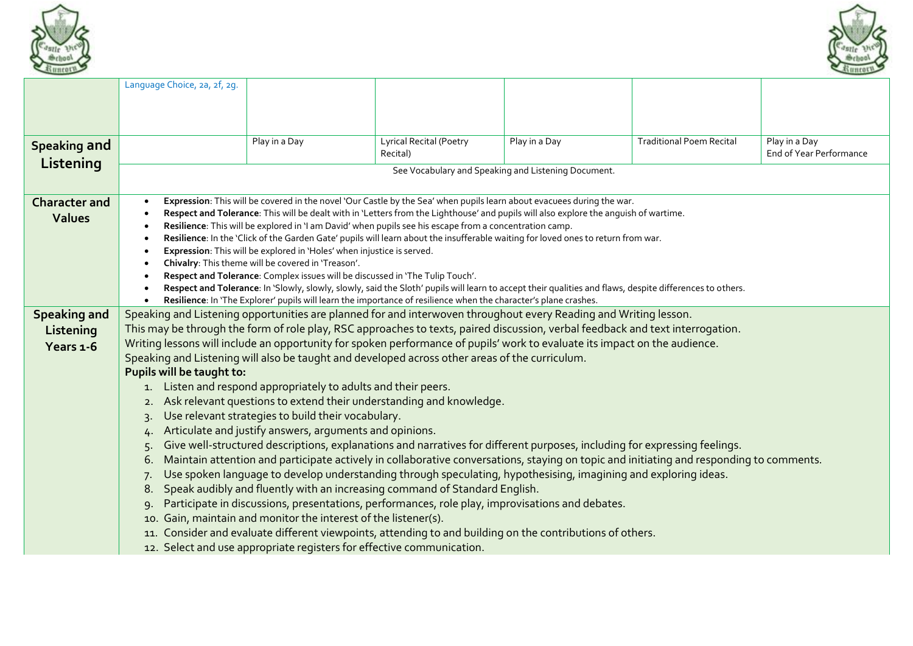



|                      | Language Choice, 2a, 2f, 2g.                                                                                                                                                                                                 |                                                                               |                                                                                                                                                                                                                                              |                                                     |                                 |                         |  |  |  |
|----------------------|------------------------------------------------------------------------------------------------------------------------------------------------------------------------------------------------------------------------------|-------------------------------------------------------------------------------|----------------------------------------------------------------------------------------------------------------------------------------------------------------------------------------------------------------------------------------------|-----------------------------------------------------|---------------------------------|-------------------------|--|--|--|
|                      |                                                                                                                                                                                                                              |                                                                               |                                                                                                                                                                                                                                              |                                                     |                                 |                         |  |  |  |
|                      |                                                                                                                                                                                                                              |                                                                               |                                                                                                                                                                                                                                              |                                                     |                                 |                         |  |  |  |
|                      |                                                                                                                                                                                                                              |                                                                               |                                                                                                                                                                                                                                              |                                                     |                                 |                         |  |  |  |
| <b>Speaking and</b>  |                                                                                                                                                                                                                              | Play in a Day                                                                 | <b>Lyrical Recital (Poetry</b>                                                                                                                                                                                                               | Play in a Day                                       | <b>Traditional Poem Recital</b> | Play in a Day           |  |  |  |
| Listening            |                                                                                                                                                                                                                              |                                                                               | Recital)                                                                                                                                                                                                                                     |                                                     |                                 | End of Year Performance |  |  |  |
|                      |                                                                                                                                                                                                                              |                                                                               |                                                                                                                                                                                                                                              | See Vocabulary and Speaking and Listening Document. |                                 |                         |  |  |  |
| <b>Character and</b> | $\bullet$                                                                                                                                                                                                                    |                                                                               | Expression: This will be covered in the novel 'Our Castle by the Sea' when pupils learn about evacuees during the war.                                                                                                                       |                                                     |                                 |                         |  |  |  |
| <b>Values</b>        |                                                                                                                                                                                                                              |                                                                               | Respect and Tolerance: This will be dealt with in 'Letters from the Lighthouse' and pupils will also explore the anguish of wartime.                                                                                                         |                                                     |                                 |                         |  |  |  |
|                      |                                                                                                                                                                                                                              |                                                                               | Resilience: This will be explored in 'I am David' when pupils see his escape from a concentration camp.<br>Resilience: In the 'Click of the Garden Gate' pupils will learn about the insufferable waiting for loved ones to return from war. |                                                     |                                 |                         |  |  |  |
|                      |                                                                                                                                                                                                                              | Expression: This will be explored in 'Holes' when injustice is served.        |                                                                                                                                                                                                                                              |                                                     |                                 |                         |  |  |  |
|                      |                                                                                                                                                                                                                              | Chivalry: This theme will be covered in 'Treason'.                            |                                                                                                                                                                                                                                              |                                                     |                                 |                         |  |  |  |
|                      | $\bullet$                                                                                                                                                                                                                    | Respect and Tolerance: Complex issues will be discussed in 'The Tulip Touch'. |                                                                                                                                                                                                                                              |                                                     |                                 |                         |  |  |  |
|                      |                                                                                                                                                                                                                              |                                                                               | Respect and Tolerance: In 'Slowly, slowly, slowly, said the Sloth' pupils will learn to accept their qualities and flaws, despite differences to others.                                                                                     |                                                     |                                 |                         |  |  |  |
|                      | $\bullet$                                                                                                                                                                                                                    |                                                                               | Resilience: In 'The Explorer' pupils will learn the importance of resilience when the character's plane crashes.                                                                                                                             |                                                     |                                 |                         |  |  |  |
| <b>Speaking and</b>  | Speaking and Listening opportunities are planned for and interwoven throughout every Reading and Writing lesson.                                                                                                             |                                                                               |                                                                                                                                                                                                                                              |                                                     |                                 |                         |  |  |  |
| Listening            | This may be through the form of role play, RSC approaches to texts, paired discussion, verbal feedback and text interrogation.                                                                                               |                                                                               |                                                                                                                                                                                                                                              |                                                     |                                 |                         |  |  |  |
| Years 1-6            | Writing lessons will include an opportunity for spoken performance of pupils' work to evaluate its impact on the audience.<br>Speaking and Listening will also be taught and developed across other areas of the curriculum. |                                                                               |                                                                                                                                                                                                                                              |                                                     |                                 |                         |  |  |  |
|                      | Pupils will be taught to:                                                                                                                                                                                                    |                                                                               |                                                                                                                                                                                                                                              |                                                     |                                 |                         |  |  |  |
|                      | 1.                                                                                                                                                                                                                           | Listen and respond appropriately to adults and their peers.                   |                                                                                                                                                                                                                                              |                                                     |                                 |                         |  |  |  |
|                      | 2.                                                                                                                                                                                                                           |                                                                               | Ask relevant questions to extend their understanding and knowledge.                                                                                                                                                                          |                                                     |                                 |                         |  |  |  |
|                      | 3.                                                                                                                                                                                                                           | Use relevant strategies to build their vocabulary.                            |                                                                                                                                                                                                                                              |                                                     |                                 |                         |  |  |  |
|                      | 4.                                                                                                                                                                                                                           | Articulate and justify answers, arguments and opinions.                       |                                                                                                                                                                                                                                              |                                                     |                                 |                         |  |  |  |
|                      | 5.                                                                                                                                                                                                                           |                                                                               | Give well-structured descriptions, explanations and narratives for different purposes, including for expressing feelings.                                                                                                                    |                                                     |                                 |                         |  |  |  |
|                      | 6.                                                                                                                                                                                                                           |                                                                               | Maintain attention and participate actively in collaborative conversations, staying on topic and initiating and responding to comments.                                                                                                      |                                                     |                                 |                         |  |  |  |
|                      | 7.                                                                                                                                                                                                                           |                                                                               | Use spoken language to develop understanding through speculating, hypothesising, imagining and exploring ideas.                                                                                                                              |                                                     |                                 |                         |  |  |  |
|                      | 8.                                                                                                                                                                                                                           |                                                                               | Speak audibly and fluently with an increasing command of Standard English.                                                                                                                                                                   |                                                     |                                 |                         |  |  |  |
|                      | 9.                                                                                                                                                                                                                           |                                                                               | Participate in discussions, presentations, performances, role play, improvisations and debates.                                                                                                                                              |                                                     |                                 |                         |  |  |  |
|                      | 10.                                                                                                                                                                                                                          | Gain, maintain and monitor the interest of the listener(s).                   |                                                                                                                                                                                                                                              |                                                     |                                 |                         |  |  |  |
|                      |                                                                                                                                                                                                                              |                                                                               | 11. Consider and evaluate different viewpoints, attending to and building on the contributions of others.                                                                                                                                    |                                                     |                                 |                         |  |  |  |
|                      |                                                                                                                                                                                                                              | 12. Select and use appropriate registers for effective communication.         |                                                                                                                                                                                                                                              |                                                     |                                 |                         |  |  |  |
|                      |                                                                                                                                                                                                                              |                                                                               |                                                                                                                                                                                                                                              |                                                     |                                 |                         |  |  |  |